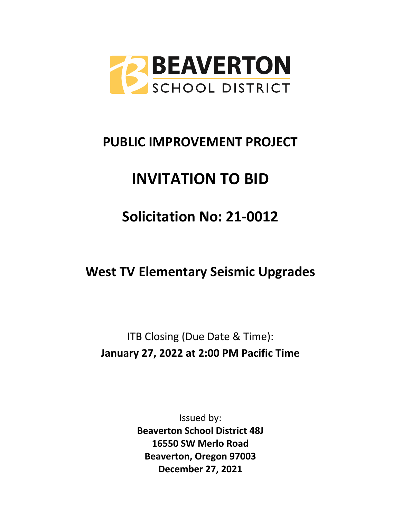

# **PUBLIC IMPROVEMENT PROJECT**

# **INVITATION TO BID**

# **Solicitation No: 21-0012**

**West TV Elementary Seismic Upgrades**

ITB Closing (Due Date & Time): **January 27, 2022 at 2:00 PM Pacific Time**

> Issued by: **Beaverton School District 48J 16550 SW Merlo Road Beaverton, Oregon 97003 December 27, 2021**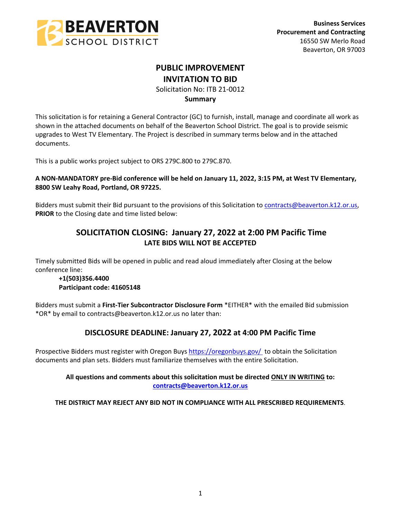

# **PUBLIC IMPROVEMENT INVITATION TO BID**

Solicitation No: ITB 21-0012

## **Summary**

This solicitation is for retaining a General Contractor (GC) to furnish, install, manage and coordinate all work as shown in the attached documents on behalf of the Beaverton School District. The goal is to provide seismic upgrades to West TV Elementary. The Project is described in summary terms below and in the attached documents.

This is a public works project subject to ORS 279C.800 to 279C.870.

## **A NON-MANDATORY pre-Bid conference will be held on January 11, 2022, 3:15 PM, at West TV Elementary, 8800 SW Leahy Road, Portland, OR 97225.**

Bidders must submit their Bid pursuant to the provisions of this Solicitation to [contracts@beaverton.k12.or.us,](mailto:contracts@beaverton.k12.or.us) **PRIOR** to the Closing date and time listed below:

# **SOLICITATION CLOSING: January 27, 2022 at 2:00 PM Pacific Time LATE BIDS WILL NOT BE ACCEPTED**

Timely submitted Bids will be opened in public and read aloud immediately after Closing at the below conference line:

## **+1(503)356.4400 Participant code: 41605148**

Bidders must submit a **First-Tier Subcontractor Disclosure Form** \*EITHER\* with the emailed Bid submission \*OR\* by email to contracts@beaverton.k12.or.us no later than:

# **DISCLOSURE DEADLINE: January 27, 2022 at 4:00 PM Pacific Time**

Prospective Bidders must register with Oregon Buys<https://oregonbuys.gov/> to obtain the Solicitation documents and plan sets. Bidders must familiarize themselves with the entire Solicitation.

## **All questions and comments about this solicitation must be directed ONLY IN WRITING to: [contracts@beaverton.k12.or.us](mailto:contracts@beaverton.k12.or.us)**

**THE DISTRICT MAY REJECT ANY BID NOT IN COMPLIANCE WITH ALL PRESCRIBED REQUIREMENTS**.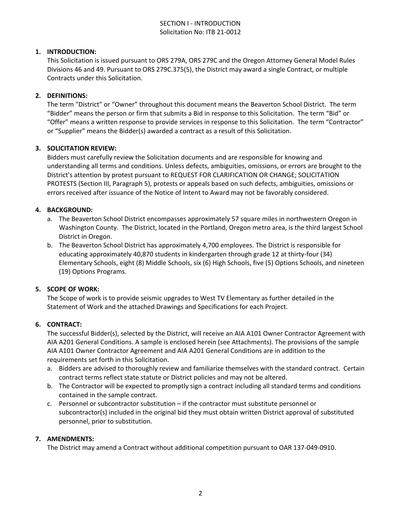## SECTION I - INTRODUCTION Solicitation No: ITB 21-0012

## **1. INTRODUCTION:**

This Solicitation is issued pursuant to ORS 279A, ORS 279C and the Oregon Attorney General Model Rules Divisions 46 and 49. Pursuant to ORS 279C.375(5), the District may award a single Contract, or multiple Contracts under this Solicitation.

#### **2. DEFINITIONS:**

The term "District" or "Owner" throughout this document means the Beaverton School District. The term "Bidder" means the person or firm that submits a Bid in response to this Solicitation. The term "Bid" or "Offer" means a written response to provide services in response to this Solicitation. The term "Contractor" or "Supplier" means the Bidder(s) awarded a contract as a result of this Solicitation.

#### **3. SOLICITATION REVIEW:**

Bidders must carefully review the Solicitation documents and are responsible for knowing and understanding all terms and conditions. Unless defects, ambiguities, omissions, or errors are brought to the District's attention by protest pursuant to REQUEST FOR CLARIFICATION OR CHANGE; SOLICITATION PROTESTS (Section III, Paragraph 5), protests or appeals based on such defects, ambiguities, omissions or errors received after issuance of the Notice of Intent to Award may not be favorably considered.

## **4. BACKGROUND:**

- a. The Beaverton School District encompasses approximately 57 square miles in northwestern Oregon in Washington County. The District, located in the Portland, Oregon metro area, is the third largest School District in Oregon.
- b. The Beaverton School District has approximately 4,700 employees. The District is responsible for educating approximately 40,870 students in kindergarten through grade 12 at thirty-four (34) Elementary Schools, eight (8) Middle Schools, six (6) High Schools, five (5) Options Schools, and nineteen (19) Options Programs.

#### **5. SCOPE OF WORK:**

The Scope of work is to provide seismic upgrades to West TV Elementary as further detailed in the Statement of Work and the attached Drawings and Specifications for each Project.

#### **6. CONTRACT:**

The successful Bidder(s), selected by the District, will receive an AIA A101 Owner Contractor Agreement with AIA A201 General Conditions. A sample is enclosed herein (see Attachments). The provisions of the sample AIA A101 Owner Contractor Agreement and AIA A201 General Conditions are in addition to the requirements set forth in this Solicitation.

- a. Bidders are advised to thoroughly review and familiarize themselves with the standard contract. Certain contract terms reflect state statute or District policies and may not be altered.
- b. The Contractor will be expected to promptly sign a contract including all standard terms and conditions contained in the sample contract.
- c. Personnel or subcontractor substitution if the contractor must substitute personnel or subcontractor(s) included in the original bid they must obtain written District approval of substituted personnel, prior to substitution.

#### **7. AMENDMENTS:**

The District may amend a Contract without additional competition pursuant to OAR 137-049-0910.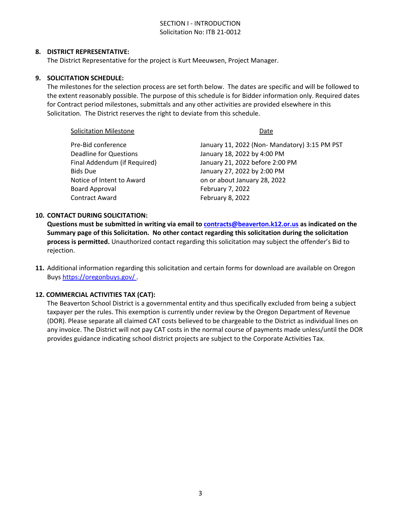## SECTION I - INTRODUCTION Solicitation No: ITB 21-0012

#### **8. DISTRICT REPRESENTATIVE:**

The District Representative for the project is Kurt Meeuwsen, Project Manager.

#### **9. SOLICITATION SCHEDULE:**

The milestones for the selection process are set forth below. The dates are specific and will be followed to the extent reasonably possible. The purpose of this schedule is for Bidder information only. Required dates for Contract period milestones, submittals and any other activities are provided elsewhere in this Solicitation. The District reserves the right to deviate from this schedule.

| <b>Solicitation Milestone</b> | Date                                          |
|-------------------------------|-----------------------------------------------|
| Pre-Bid conference            | January 11, 2022 (Non- Mandatory) 3:15 PM PST |
| <b>Deadline for Questions</b> | January 18, 2022 by 4:00 PM                   |
| Final Addendum (if Required)  | January 21, 2022 before 2:00 PM               |
| <b>Bids Due</b>               | January 27, 2022 by 2:00 PM                   |
| Notice of Intent to Award     | on or about January 28, 2022                  |
| <b>Board Approval</b>         | February 7, 2022                              |
| <b>Contract Award</b>         | February 8, 2022                              |
|                               |                                               |

#### **10. CONTACT DURING SOLICITATION:**

**Questions must be submitted in writing via email to [contracts@beaverton.k12.or.us](mailto:contracts@beaverton.k12.or.us) as indicated on the Summary page of this Solicitation. No other contact regarding this solicitation during the solicitation process is permitted.** Unauthorized contact regarding this solicitation may subject the offender's Bid to rejection.

**11.** Additional information regarding this solicitation and certain forms for download are available on Oregon Buys <https://oregonbuys.gov/> .

#### **12. COMMERCIAL ACTIVITIES TAX (CAT):**

The Beaverton School District is a governmental entity and thus specifically excluded from being a subject taxpayer per the rules. This exemption is currently under review by the Oregon Department of Revenue (DOR). Please separate all claimed CAT costs believed to be chargeable to the District as individual lines on any invoice. The District will not pay CAT costs in the normal course of payments made unless/until the DOR provides guidance indicating school district projects are subject to the Corporate Activities Tax.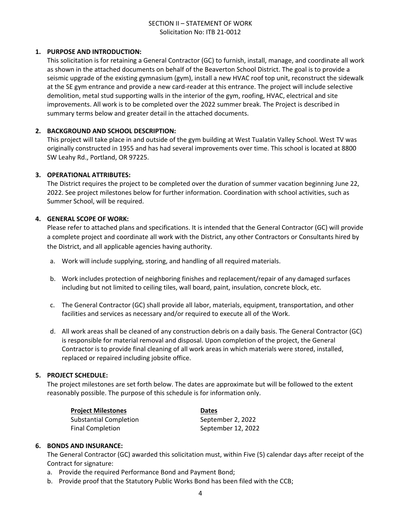## SECTION II – STATEMENT OF WORK Solicitation No: ITB 21-0012

#### **1. PURPOSE AND INTRODUCTION:**

This solicitation is for retaining a General Contractor (GC) to furnish, install, manage, and coordinate all work as shown in the attached documents on behalf of the Beaverton School District. The goal is to provide a seismic upgrade of the existing gymnasium (gym), install a new HVAC roof top unit, reconstruct the sidewalk at the SE gym entrance and provide a new card-reader at this entrance. The project will include selective demolition, metal stud supporting walls in the interior of the gym, roofing, HVAC, electrical and site improvements. All work is to be completed over the 2022 summer break. The Project is described in summary terms below and greater detail in the attached documents.

## **2. BACKGROUND AND SCHOOL DESCRIPTION:**

This project will take place in and outside of the gym building at West Tualatin Valley School. West TV was originally constructed in 1955 and has had several improvements over time. This school is located at 8800 SW Leahy Rd., Portland, OR 97225.

## **3. OPERATIONAL ATTRIBUTES:**

The District requires the project to be completed over the duration of summer vacation beginning June 22, 2022. See project milestones below for further information. Coordination with school activities, such as Summer School, will be required.

## **4. GENERAL SCOPE OF WORK:**

Please refer to attached plans and specifications. It is intended that the General Contractor (GC) will provide a complete project and coordinate all work with the District, any other Contractors or Consultants hired by the District, and all applicable agencies having authority.

- a. Work will include supplying, storing, and handling of all required materials.
- b. Work includes protection of neighboring finishes and replacement/repair of any damaged surfaces including but not limited to ceiling tiles, wall board, paint, insulation, concrete block, etc.
- c. The General Contractor (GC) shall provide all labor, materials, equipment, transportation, and other facilities and services as necessary and/or required to execute all of the Work.
- d. All work areas shall be cleaned of any construction debris on a daily basis. The General Contractor (GC) is responsible for material removal and disposal. Upon completion of the project, the General Contractor is to provide final cleaning of all work areas in which materials were stored, installed, replaced or repaired including jobsite office.

#### **5. PROJECT SCHEDULE:**

The project milestones are set forth below. The dates are approximate but will be followed to the extent reasonably possible. The purpose of this schedule is for information only.

| <b>Project Milestones</b>     | <b>Dates</b>       |
|-------------------------------|--------------------|
| <b>Substantial Completion</b> | September 2, 2022  |
| <b>Final Completion</b>       | September 12, 2022 |

#### **6. BONDS AND INSURANCE:**

The General Contractor (GC) awarded this solicitation must, within Five (5) calendar days after receipt of the Contract for signature:

- a. Provide the required Performance Bond and Payment Bond;
- b. Provide proof that the Statutory Public Works Bond has been filed with the CCB;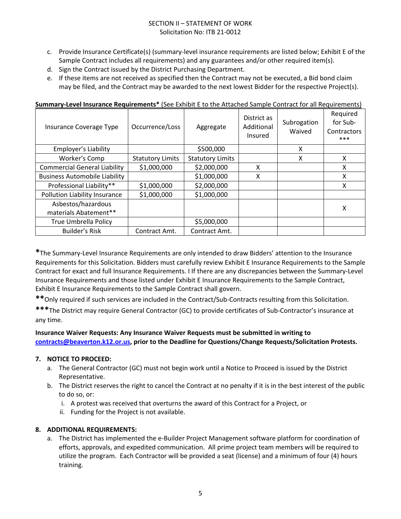## SECTION II – STATEMENT OF WORK Solicitation No: ITB 21-0012

- c. Provide Insurance Certificate(s) (summary-level insurance requirements are listed below; Exhibit E of the Sample Contract includes all requirements) and any guarantees and/or other required item(s).
- d. Sign the Contract issued by the District Purchasing Department.
- e. If these items are not received as specified then the Contract may not be executed, a Bid bond claim may be filed, and the Contract may be awarded to the next lowest Bidder for the respective Project(s).

| Insurance Coverage Type                     | Occurrence/Loss         | Aggregate               | District as<br>Additional<br>Insured | Subrogation<br>Waived | Required<br>for Sub-<br>Contractors<br>*** |
|---------------------------------------------|-------------------------|-------------------------|--------------------------------------|-----------------------|--------------------------------------------|
| <b>Employer's Liability</b>                 |                         | \$500,000               |                                      | X                     |                                            |
| Worker's Comp                               | <b>Statutory Limits</b> | <b>Statutory Limits</b> |                                      | X                     | X                                          |
| <b>Commercial General Liability</b>         | \$1,000,000             | \$2,000,000             | Χ                                    |                       | X                                          |
| <b>Business Automobile Liability</b>        |                         | \$1,000,000             | X                                    |                       | X                                          |
| Professional Liability**                    | \$1,000,000             | \$2,000,000             |                                      |                       | X                                          |
| Pollution Liability Insurance               | \$1,000,000             | \$1,000,000             |                                      |                       |                                            |
| Asbestos/hazardous<br>materials Abatement** |                         |                         |                                      |                       | X                                          |
| <b>True Umbrella Policy</b>                 |                         | \$5,000,000             |                                      |                       |                                            |
| <b>Builder's Risk</b>                       | Contract Amt.           | Contract Amt.           |                                      |                       |                                            |

#### **Summary-Level Insurance Requirements\*** (See Exhibit E to the Attached Sample Contract for all Requirements)

**\***The Summary-Level Insurance Requirements are only intended to draw Bidders' attention to the Insurance Requirements for this Solicitation. Bidders must carefully review Exhibit E Insurance Requirements to the Sample Contract for exact and full Insurance Requirements. I If there are any discrepancies between the Summary-Level Insurance Requirements and those listed under Exhibit E Insurance Requirements to the Sample Contract, Exhibit E Insurance Requirements to the Sample Contract shall govern.

**\*\***Only required if such services are included in the Contract/Sub-Contracts resulting from this Solicitation.

**\*\*\***The District may require General Contractor (GC) to provide certificates of Sub-Contractor's insurance at any time.

## **Insurance Waiver Requests: Any Insurance Waiver Requests must be submitted in writing to [contracts@beaverton.k12.or.us,](mailto:contracts@beaverton.k12.or.us) prior to the Deadline for Questions/Change Requests/Solicitation Protests.**

## **7. NOTICE TO PROCEED:**

- a. The General Contractor (GC) must not begin work until a Notice to Proceed is issued by the District Representative.
- b. The District reserves the right to cancel the Contract at no penalty if it is in the best interest of the public to do so, or:
	- i. A protest was received that overturns the award of this Contract for a Project, or
	- ii. Funding for the Project is not available.

#### **8. ADDITIONAL REQUIREMENTS:**

a. The District has implemented the e-Builder Project Management software platform for coordination of efforts, approvals, and expedited communication. All prime project team members will be required to utilize the program. Each Contractor will be provided a seat (license) and a minimum of four (4) hours training.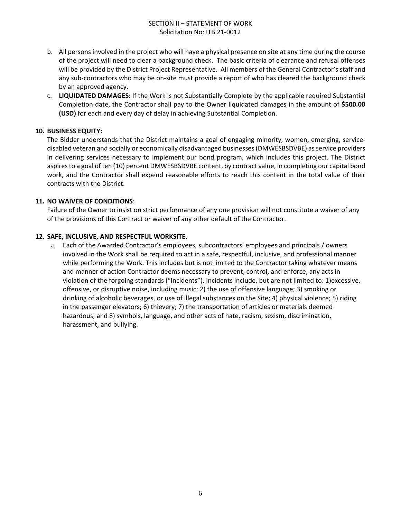## SECTION II – STATEMENT OF WORK Solicitation No: ITB 21-0012

- b. All persons involved in the project who will have a physical presence on site at any time during the course of the project will need to clear a background check. The basic criteria of clearance and refusal offenses will be provided by the District Project Representative. All members of the General Contractor's staff and any sub-contractors who may be on-site must provide a report of who has cleared the background check by an approved agency.
- c. **LIQUIDATED DAMAGES:** If the Work is not Substantially Complete by the applicable required Substantial Completion date, the Contractor shall pay to the Owner liquidated damages in the amount of **\$500.00 (USD)** for each and every day of delay in achieving Substantial Completion.

## **10. BUSINESS EQUITY:**

The Bidder understands that the District maintains a goal of engaging minority, women, emerging, servicedisabled veteran and socially or economically disadvantaged businesses (DMWESBSDVBE) as service providers in delivering services necessary to implement our bond program, which includes this project. The District aspires to a goal of ten (10) percent DMWESBSDVBE content, by contract value, in completing our capital bond work, and the Contractor shall expend reasonable efforts to reach this content in the total value of their contracts with the District.

## **11. NO WAIVER OF CONDITIONS**:

Failure of the Owner to insist on strict performance of any one provision will not constitute a waiver of any of the provisions of this Contract or waiver of any other default of the Contractor.

## **12. SAFE, INCLUSIVE, AND RESPECTFUL WORKSITE.**

a. Each of the Awarded Contractor's employees, subcontractors' employees and principals / owners involved in the Work shall be required to act in a safe, respectful, inclusive, and professional manner while performing the Work. This includes but is not limited to the Contractor taking whatever means and manner of action Contractor deems necessary to prevent, control, and enforce, any acts in violation of the forgoing standards ("Incidents"). Incidents include, but are not limited to: 1)excessive, offensive, or disruptive noise, including music; 2) the use of offensive language; 3) smoking or drinking of alcoholic beverages, or use of illegal substances on the Site; 4) physical violence; 5) riding in the passenger elevators; 6) thievery; 7) the transportation of articles or materials deemed hazardous; and 8) symbols, language, and other acts of hate, racism, sexism, discrimination, harassment, and bullying.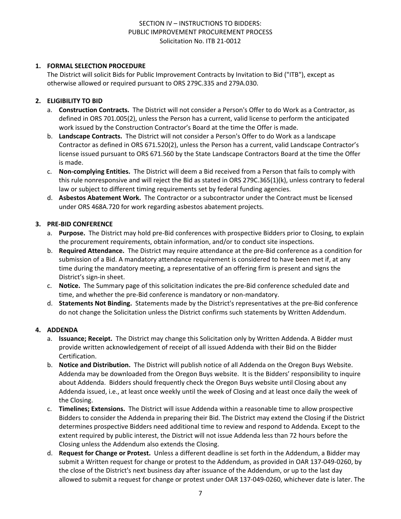## **1. FORMAL SELECTION PROCEDURE**

The District will solicit Bids for Public Improvement Contracts by Invitation to Bid ("ITB"), except as otherwise allowed or required pursuant to ORS 279C.335 and 279A.030.

## **2. ELIGIBILITY TO BID**

- a. **Construction Contracts.** The District will not consider a Person's Offer to do Work as a Contractor, as defined in ORS 701.005(2), unless the Person has a current, valid license to perform the anticipated work issued by the Construction Contractor's Board at the time the Offer is made.
- b. **Landscape Contracts.** The District will not consider a Person's Offer to do Work as a landscape Contractor as defined in ORS 671.520(2), unless the Person has a current, valid Landscape Contractor's license issued pursuant to ORS 671.560 by the State Landscape Contractors Board at the time the Offer is made.
- c. **Non-complying Entities.** The District will deem a Bid received from a Person that fails to comply with this rule nonresponsive and will reject the Bid as stated in ORS 279C.365(1)(k), unless contrary to federal law or subject to different timing requirements set by federal funding agencies.
- d. **Asbestos Abatement Work.** The Contractor or a subcontractor under the Contract must be licensed under ORS 468A.720 for work regarding asbestos abatement projects.

#### **3. PRE-BID CONFERENCE**

- a. **Purpose.** The District may hold pre-Bid conferences with prospective Bidders prior to Closing, to explain the procurement requirements, obtain information, and/or to conduct site inspections.
- b. **Required Attendance.** The District may require attendance at the pre-Bid conference as a condition for submission of a Bid. A mandatory attendance requirement is considered to have been met if, at any time during the mandatory meeting, a representative of an offering firm is present and signs the District's sign-in sheet.
- c. **Notice.** The Summary page of this solicitation indicates the pre-Bid conference scheduled date and time, and whether the pre-Bid conference is mandatory or non-mandatory.
- d. **Statements Not Binding.** Statements made by the District's representatives at the pre-Bid conference do not change the Solicitation unless the District confirms such statements by Written Addendum.

## **4. ADDENDA**

- a. **Issuance; Receipt.** The District may change this Solicitation only by Written Addenda. A Bidder must provide written acknowledgement of receipt of all issued Addenda with their Bid on the Bidder Certification.
- b. **Notice and Distribution.** The District will publish notice of all Addenda on the Oregon Buys Website. Addenda may be downloaded from the Oregon Buys website. It is the Bidders' responsibility to inquire about Addenda. Bidders should frequently check the Oregon Buys website until Closing about any Addenda issued, i.e., at least once weekly until the week of Closing and at least once daily the week of the Closing.
- c. **Timelines; Extensions.** The District will issue Addenda within a reasonable time to allow prospective Bidders to consider the Addenda in preparing their Bid. The District may extend the Closing if the District determines prospective Bidders need additional time to review and respond to Addenda. Except to the extent required by public interest, the District will not issue Addenda less than 72 hours before the Closing unless the Addendum also extends the Closing.
- d. **Request for Change or Protest.** Unless a different deadline is set forth in the Addendum, a Bidder may submit a Written request for change or protest to the Addendum, as provided in OAR 137-049-0260, by the close of the District's next business day after issuance of the Addendum, or up to the last day allowed to submit a request for change or protest under OAR 137-049-0260, whichever date is later. The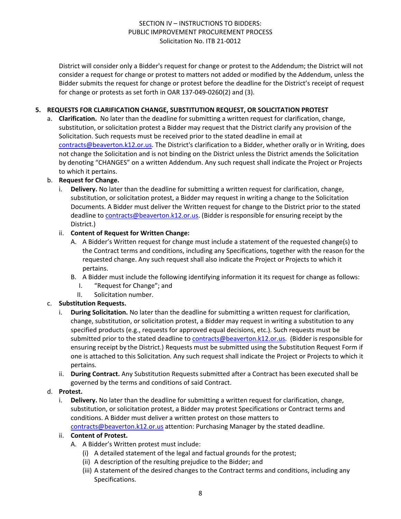District will consider only a Bidder's request for change or protest to the Addendum; the District will not consider a request for change or protest to matters not added or modified by the Addendum, unless the Bidder submits the request for change or protest before the deadline for the District's receipt of request for change or protests as set forth in OAR 137-049-0260(2) and (3).

## **5. REQUESTS FOR CLARIFICATION CHANGE, SUBSTITUTION REQUEST, OR SOLICITATION PROTEST**

a. **Clarification.** No later than the deadline for submitting a written request for clarification, change, substitution, or solicitation protest a Bidder may request that the District clarify any provision of the Solicitation. Such requests must be received prior to the stated deadline in email at [contracts@beaverton.k12.or.us.](mailto:contracts@beaverton.k12.or.us) The District's clarification to a Bidder, whether orally or in Writing, does not change the Solicitation and is not binding on the District unless the District amends the Solicitation by denoting "CHANGES" on a written Addendum. Any such request shall indicate the Project or Projects to which it pertains.

## b. **Request for Change.**

i. **Delivery.** No later than the deadline for submitting a written request for clarification, change, substitution, or solicitation protest, a Bidder may request in writing a change to the Solicitation Documents. A Bidder must deliver the Written request for change to the District prior to the stated deadline to [contracts@beaverton.k12.or.us.](mailto:contracts@beaverton.k12.or.us) (Bidder is responsible for ensuring receipt by the District.)

## ii. **Content of Request for Written Change:**

- A. A Bidder's Written request for change must include a statement of the requested change(s) to the Contract terms and conditions, including any Specifications, together with the reason for the requested change. Any such request shall also indicate the Project or Projects to which it pertains.
- B. A Bidder must include the following identifying information it its request for change as follows:
	- I. "Request for Change"; and
	- II. Solicitation number.

## c. **Substitution Requests.**

- i. **During Solicitation.** No later than the deadline for submitting a written request for clarification, change, substitution, or solicitation protest, a Bidder may request in writing a substitution to any specified products (e.g., requests for approved equal decisions, etc.). Such requests must be submitted prior to the stated deadline to [contracts@beaverton.k12.or.us](mailto:contracts@beaverton.k12.or.us). (Bidder is responsible for ensuring receipt by the District.) Requests must be submitted using the Substitution Request Form if one is attached to this Solicitation. Any such request shall indicate the Project or Projects to which it pertains.
- ii. **During Contract.** Any Substitution Requests submitted after a Contract has been executed shall be governed by the terms and conditions of said Contract.

#### d. **Protest.**

i. **Delivery.** No later than the deadline for submitting a written request for clarification, change, substitution, or solicitation protest, a Bidder may protest Specifications or Contract terms and conditions. A Bidder must deliver a written protest on those matters to [contracts@beaverton.k12.or.us](mailto:contracts@beaverton.k12.or.us) attention: Purchasing Manager by the stated deadline.

#### ii. **Content of Protest.**

- A. A Bidder's Written protest must include:
	- (i) A detailed statement of the legal and factual grounds for the protest;
	- (ii) A description of the resulting prejudice to the Bidder; and
	- (iii) A statement of the desired changes to the Contract terms and conditions, including any Specifications.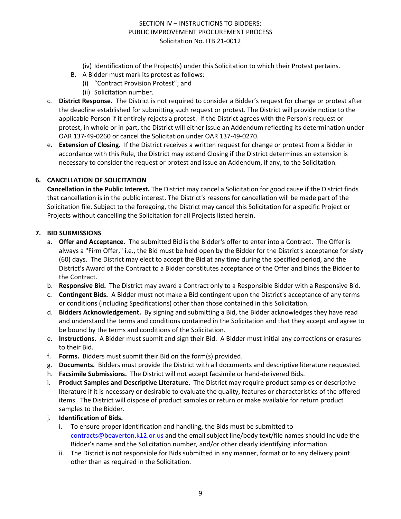- (iv) Identification of the Project(s) under this Solicitation to which their Protest pertains.
- B. A Bidder must mark its protest as follows:
	- (i) "Contract Provision Protest"; and
		- (ii) Solicitation number.
- c. **District Response.** The District is not required to consider a Bidder's request for change or protest after the deadline established for submitting such request or protest. The District will provide notice to the applicable Person if it entirely rejects a protest. If the District agrees with the Person's request or protest, in whole or in part, the District will either issue an Addendum reflecting its determination under OAR 137-49-0260 or cancel the Solicitation under OAR 137-49-0270.
- e. **Extension of Closing.** If the District receives a written request for change or protest from a Bidder in accordance with this Rule, the District may extend Closing if the District determines an extension is necessary to consider the request or protest and issue an Addendum, if any, to the Solicitation.

## **6. CANCELLATION OF SOLICITATION**

**Cancellation in the Public Interest.** The District may cancel a Solicitation for good cause if the District finds that cancellation is in the public interest. The District's reasons for cancellation will be made part of the Solicitation file. Subject to the foregoing, the District may cancel this Solicitation for a specific Project or Projects without cancelling the Solicitation for all Projects listed herein.

#### **7. BID SUBMISSIONS**

- a. **Offer and Acceptance.** The submitted Bid is the Bidder's offer to enter into a Contract. The Offer is always a "Firm Offer," i.e., the Bid must be held open by the Bidder for the District's acceptance for sixty (60) days. The District may elect to accept the Bid at any time during the specified period, and the District's Award of the Contract to a Bidder constitutes acceptance of the Offer and binds the Bidder to the Contract.
- b. **Responsive Bid.** The District may award a Contract only to a Responsible Bidder with a Responsive Bid.
- c. **Contingent Bids.** A Bidder must not make a Bid contingent upon the District's acceptance of any terms or conditions (including Specifications) other than those contained in this Solicitation.
- d. **Bidders Acknowledgement.** By signing and submitting a Bid, the Bidder acknowledges they have read and understand the terms and conditions contained in the Solicitation and that they accept and agree to be bound by the terms and conditions of the Solicitation.
- e. **Instructions.** A Bidder must submit and sign their Bid. A Bidder must initial any corrections or erasures to their Bid.
- f. **Forms.** Bidders must submit their Bid on the form(s) provided.
- g. **Documents.** Bidders must provide the District with all documents and descriptive literature requested.
- h. **Facsimile Submissions.** The District will not accept facsimile or hand-delivered Bids.
- i. **Product Samples and Descriptive Literature.** The District may require product samples or descriptive literature if it is necessary or desirable to evaluate the quality, features or characteristics of the offered items. The District will dispose of product samples or return or make available for return product samples to the Bidder.
- j. **Identification of Bids.**
	- i. To ensure proper identification and handling, the Bids must be submitted to [contracts@beaverton.k12.or.us](mailto:contracts@beaverton.k12.or.us) and the email subject line/body text/file names should include the Bidder's name and the Solicitation number, and/or other clearly identifying information.
	- ii. The District is not responsible for Bids submitted in any manner, format or to any delivery point other than as required in the Solicitation.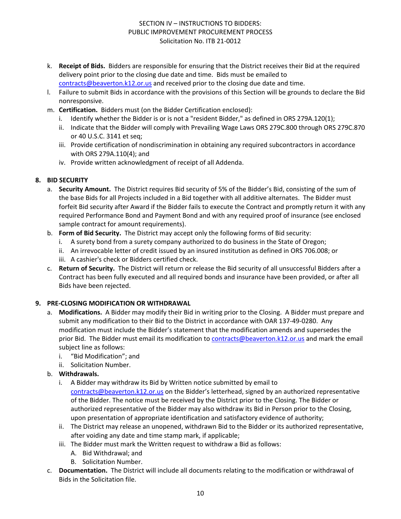- k. **Receipt of Bids.** Bidders are responsible for ensuring that the District receives their Bid at the required delivery point prior to the closing due date and time. Bids must be emailed to [contracts@beaverton.k12.or.us](mailto:contracts@beaverton.k12.or.us) and received prior to the closing due date and time.
- l. Failure to submit Bids in accordance with the provisions of this Section will be grounds to declare the Bid nonresponsive.
- m. **Certification.** Bidders must (on the Bidder Certification enclosed):
	- i. Identify whether the Bidder is or is not a "resident Bidder," as defined in ORS 279A.120(1);
	- ii. Indicate that the Bidder will comply with Prevailing Wage Laws ORS 279C.800 through ORS 279C.870 or 40 U.S.C. 3141 et seq;
	- iii. Provide certification of nondiscrimination in obtaining any required subcontractors in accordance with ORS 279A.110(4); and
	- iv. Provide written acknowledgment of receipt of all Addenda.

## **8. BID SECURITY**

- a. **Security Amount.** The District requires Bid security of 5% of the Bidder's Bid, consisting of the sum of the base Bids for all Projects included in a Bid together with all additive alternates. The Bidder must forfeit Bid security after Award if the Bidder fails to execute the Contract and promptly return it with any required Performance Bond and Payment Bond and with any required proof of insurance (see enclosed sample contract for amount requirements).
- b. **Form of Bid Security.** The District may accept only the following forms of Bid security:
	- i. A surety bond from a surety company authorized to do business in the State of Oregon;
	- ii. An irrevocable letter of credit issued by an insured institution as defined in ORS 706.008; or
	- iii. A cashier's check or Bidders certified check.
- c. **Return of Security.** The District will return or release the Bid security of all unsuccessful Bidders after a Contract has been fully executed and all required bonds and insurance have been provided, or after all Bids have been rejected.

## **9. PRE-CLOSING MODIFICATION OR WITHDRAWAL**

- a. **Modifications.** A Bidder may modify their Bid in writing prior to the Closing. A Bidder must prepare and submit any modification to their Bid to the District in accordance with OAR 137-49-0280. Any modification must include the Bidder's statement that the modification amends and supersedes the prior Bid. The Bidder must email its modification to [contracts@beaverton.k12.or.us](mailto:contracts@beaverton.k12.or.us) and mark the email subject line as follows:
	- i. "Bid Modification"; and
	- ii. Solicitation Number.
- b. **Withdrawals.**
	- i. A Bidder may withdraw its Bid by Written notice submitted by email to [contracts@beaverton.k12.or.us](mailto:contracts@beaverton.k12.or.us) on the Bidder's letterhead, signed by an authorized representative of the Bidder. The notice must be received by the District prior to the Closing. The Bidder or authorized representative of the Bidder may also withdraw its Bid in Person prior to the Closing, upon presentation of appropriate identification and satisfactory evidence of authority;
	- ii. The District may release an unopened, withdrawn Bid to the Bidder or its authorized representative, after voiding any date and time stamp mark, if applicable;
	- iii. The Bidder must mark the Written request to withdraw a Bid as follows:
		- A. Bid Withdrawal; and
		- B. Solicitation Number.
- c. **Documentation.** The District will include all documents relating to the modification or withdrawal of Bids in the Solicitation file.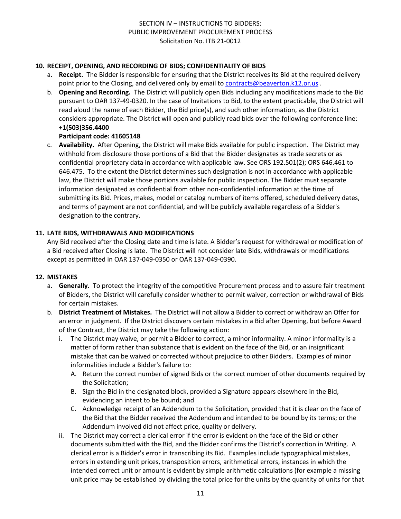## **10. RECEIPT, OPENING, AND RECORDING OF BIDS; CONFIDENTIALITY OF BIDS**

- a. **Receipt.** The Bidder is responsible for ensuring that the District receives its Bid at the required delivery point prior to the Closing, and delivered only by email to [contracts@beaverton.k12.or.us](mailto:contracts@beaverton.k12.or.us) .
- b. **Opening and Recording.** The District will publicly open Bids including any modifications made to the Bid pursuant to OAR 137-49-0320. In the case of Invitations to Bid, to the extent practicable, the District will read aloud the name of each Bidder, the Bid price(s), and such other information, as the District considers appropriate. The District will open and publicly read bids over the following conference line: **+1(503)356.4400**

## **Participant code: 41605148**

c. **Availability.** After Opening, the District will make Bids available for public inspection. The District may withhold from disclosure those portions of a Bid that the Bidder designates as trade secrets or as confidential proprietary data in accordance with applicable law. See ORS 192.501(2); ORS 646.461 to 646.475. To the extent the District determines such designation is not in accordance with applicable law, the District will make those portions available for public inspection. The Bidder must separate information designated as confidential from other non-confidential information at the time of submitting its Bid. Prices, makes, model or catalog numbers of items offered, scheduled delivery dates, and terms of payment are not confidential, and will be publicly available regardless of a Bidder's designation to the contrary.

## **11. LATE BIDS, WITHDRAWALS AND MODIFICATIONS**

Any Bid received after the Closing date and time is late. A Bidder's request for withdrawal or modification of a Bid received after Closing is late. The District will not consider late Bids, withdrawals or modifications except as permitted in OAR 137-049-0350 or OAR 137-049-0390.

#### **12. MISTAKES**

- a. **Generally.** To protect the integrity of the competitive Procurement process and to assure fair treatment of Bidders, the District will carefully consider whether to permit waiver, correction or withdrawal of Bids for certain mistakes.
- b. **District Treatment of Mistakes.** The District will not allow a Bidder to correct or withdraw an Offer for an error in judgment. If the District discovers certain mistakes in a Bid after Opening, but before Award of the Contract, the District may take the following action:
	- i. The District may waive, or permit a Bidder to correct, a minor informality. A minor informality is a matter of form rather than substance that is evident on the face of the Bid, or an insignificant mistake that can be waived or corrected without prejudice to other Bidders. Examples of minor informalities include a Bidder's failure to:
		- A. Return the correct number of signed Bids or the correct number of other documents required by the Solicitation;
		- B. Sign the Bid in the designated block, provided a Signature appears elsewhere in the Bid, evidencing an intent to be bound; and
		- C. Acknowledge receipt of an Addendum to the Solicitation, provided that it is clear on the face of the Bid that the Bidder received the Addendum and intended to be bound by its terms; or the Addendum involved did not affect price, quality or delivery.
	- ii. The District may correct a clerical error if the error is evident on the face of the Bid or other documents submitted with the Bid, and the Bidder confirms the District's correction in Writing. A clerical error is a Bidder's error in transcribing its Bid. Examples include typographical mistakes, errors in extending unit prices, transposition errors, arithmetical errors, instances in which the intended correct unit or amount is evident by simple arithmetic calculations (for example a missing unit price may be established by dividing the total price for the units by the quantity of units for that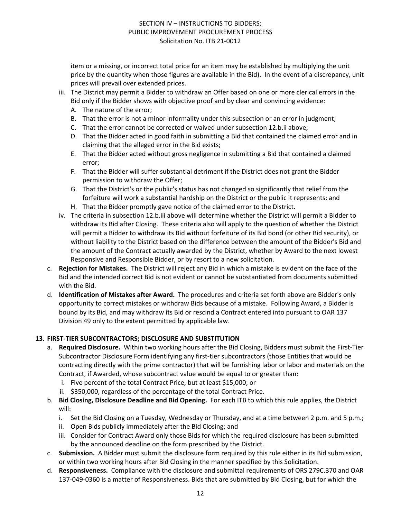item or a missing, or incorrect total price for an item may be established by multiplying the unit price by the quantity when those figures are available in the Bid). In the event of a discrepancy, unit prices will prevail over extended prices.

- iii. The District may permit a Bidder to withdraw an Offer based on one or more clerical errors in the Bid only if the Bidder shows with objective proof and by clear and convincing evidence:
	- A. The nature of the error;
	- B. That the error is not a minor informality under this subsection or an error in judgment;
	- C. That the error cannot be corrected or waived under subsection 12.b.ii above;
	- D. That the Bidder acted in good faith in submitting a Bid that contained the claimed error and in claiming that the alleged error in the Bid exists;
	- E. That the Bidder acted without gross negligence in submitting a Bid that contained a claimed error;
	- F. That the Bidder will suffer substantial detriment if the District does not grant the Bidder permission to withdraw the Offer;
	- G. That the District's or the public's status has not changed so significantly that relief from the forfeiture will work a substantial hardship on the District or the public it represents; and
	- H. That the Bidder promptly gave notice of the claimed error to the District.
- iv. The criteria in subsection 12.b.iii above will determine whether the District will permit a Bidder to withdraw its Bid after Closing. These criteria also will apply to the question of whether the District will permit a Bidder to withdraw its Bid without forfeiture of its Bid bond (or other Bid security), or without liability to the District based on the difference between the amount of the Bidder's Bid and the amount of the Contract actually awarded by the District, whether by Award to the next lowest Responsive and Responsible Bidder, or by resort to a new solicitation.
- c. **Rejection for Mistakes.** The District will reject any Bid in which a mistake is evident on the face of the Bid and the intended correct Bid is not evident or cannot be substantiated from documents submitted with the Bid.
- d. **Identification of Mistakes after Award.** The procedures and criteria set forth above are Bidder's only opportunity to correct mistakes or withdraw Bids because of a mistake. Following Award, a Bidder is bound by its Bid, and may withdraw its Bid or rescind a Contract entered into pursuant to OAR 137 Division 49 only to the extent permitted by applicable law.

#### **13. FIRST-TIER SUBCONTRACTORS; DISCLOSURE AND SUBSTITUTION**

- a. **Required Disclosure.** Within two working hours after the Bid Closing, Bidders must submit the First-Tier Subcontractor Disclosure Form identifying any first-tier subcontractors (those Entities that would be contracting directly with the prime contractor) that will be furnishing labor or labor and materials on the Contract, if Awarded, whose subcontract value would be equal to or greater than:
	- i. Five percent of the total Contract Price, but at least \$15,000; or
	- ii. \$350,000, regardless of the percentage of the total Contract Price.
- b. **Bid Closing, Disclosure Deadline and Bid Opening.** For each ITB to which this rule applies, the District will:
	- i. Set the Bid Closing on a Tuesday, Wednesday or Thursday, and at a time between 2 p.m. and 5 p.m.;
	- ii. Open Bids publicly immediately after the Bid Closing; and
	- iii. Consider for Contract Award only those Bids for which the required disclosure has been submitted by the announced deadline on the form prescribed by the District.
- c. **Submission.** A Bidder must submit the disclosure form required by this rule either in its Bid submission, or within two working hours after Bid Closing in the manner specified by this Solicitation.
- d. **Responsiveness.** Compliance with the disclosure and submittal requirements of ORS 279C.370 and OAR 137-049-0360 is a matter of Responsiveness. Bids that are submitted by Bid Closing, but for which the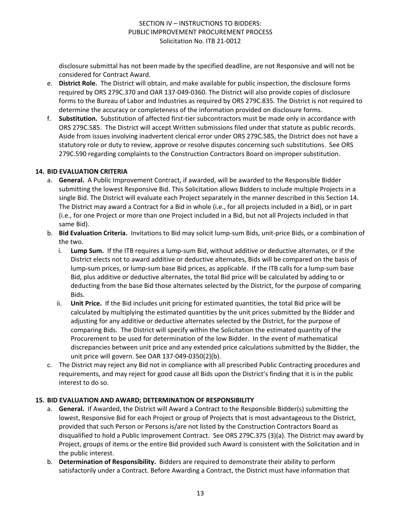disclosure submittal has not been made by the specified deadline, are not Responsive and will not be considered for Contract Award.

- e. **District Role.** The District will obtain, and make available for public inspection, the disclosure forms required by ORS 279C.370 and OAR 137-049-0360. The District will also provide copies of disclosure forms to the Bureau of Labor and Industries as required by ORS 279C.835. The District is not required to determine the accuracy or completeness of the information provided on disclosure forms.
- f. **Substitution.** Substitution of affected first-tier subcontractors must be made only in accordance with ORS 279C.585. The District will accept Written submissions filed under that statute as public records. Aside from issues involving inadvertent clerical error under ORS 279C.585, the District does not have a statutory role or duty to review, approve or resolve disputes concerning such substitutions. See ORS 279C.590 regarding complaints to the Construction Contractors Board on improper substitution.

#### **14. BID EVALUATION CRITERIA**

- a. **General.** A Public Improvement Contract, if awarded, will be awarded to the Responsible Bidder submitting the lowest Responsive Bid. This Solicitation allows Bidders to include multiple Projects in a single Bid. The District will evaluate each Project separately in the manner described in this Section 14. The District may award a Contract for a Bid in whole (i.e., for all projects included in a Bid), or in part (i.e., for one Project or more than one Project included in a Bid, but not all Projects included in that same Bid).
- b. **Bid Evaluation Criteria.** Invitations to Bid may solicit lump-sum Bids, unit-price Bids, or a combination of the two.
	- i. **Lump Sum.** If the ITB requires a lump-sum Bid, without additive or deductive alternates, or if the District elects not to award additive or deductive alternates, Bids will be compared on the basis of lump-sum prices, or lump-sum base Bid prices, as applicable. If the ITB calls for a lump-sum base Bid, plus additive or deductive alternates, the total Bid price will be calculated by adding to or deducting from the base Bid those alternates selected by the District, for the purpose of comparing Bids.
	- ii. **Unit Price.** If the Bid includes unit pricing for estimated quantities, the total Bid price will be calculated by multiplying the estimated quantities by the unit prices submitted by the Bidder and adjusting for any additive or deductive alternates selected by the District, for the purpose of comparing Bids. The District will specify within the Solicitation the estimated quantity of the Procurement to be used for determination of the low Bidder. In the event of mathematical discrepancies between unit price and any extended price calculations submitted by the Bidder, the unit price will govern. See OAR 137-049-0350(2)(b).
- c. The District may reject any Bid not in compliance with all prescribed Public Contracting procedures and requirements, and may reject for good cause all Bids upon the District's finding that it is in the public interest to do so.

## **15. BID EVALUATION AND AWARD; DETERMINATION OF RESPONSIBILITY**

- a. **General.** If Awarded, the District will Award a Contract to the Responsible Bidder(s) submitting the lowest, Responsive Bid for each Project or group of Projects that is most advantageous to the District, provided that such Person or Persons is/are not listed by the Construction Contractors Board as disqualified to hold a Public Improvement Contract. See ORS 279C.375 (3)(a). The District may award by Project, groups of items or the entire Bid provided such Award is consistent with the Solicitation and in the public interest.
- b. **Determination of Responsibility.** Bidders are required to demonstrate their ability to perform satisfactorily under a Contract. Before Awarding a Contract, the District must have information that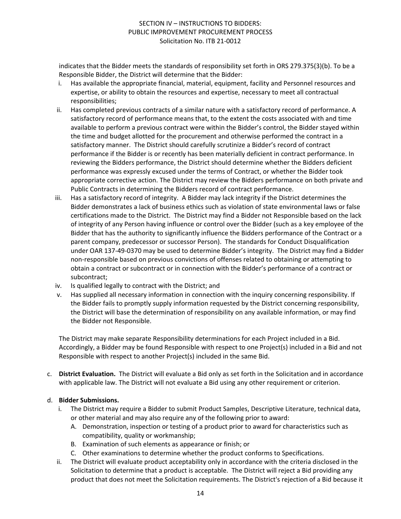indicates that the Bidder meets the standards of responsibility set forth in ORS 279.375(3)(b). To be a Responsible Bidder, the District will determine that the Bidder:

- i. Has available the appropriate financial, material, equipment, facility and Personnel resources and expertise, or ability to obtain the resources and expertise, necessary to meet all contractual responsibilities;
- ii. Has completed previous contracts of a similar nature with a satisfactory record of performance. A satisfactory record of performance means that, to the extent the costs associated with and time available to perform a previous contract were within the Bidder's control, the Bidder stayed within the time and budget allotted for the procurement and otherwise performed the contract in a satisfactory manner. The District should carefully scrutinize a Bidder's record of contract performance if the Bidder is or recently has been materially deficient in contract performance. In reviewing the Bidders performance, the District should determine whether the Bidders deficient performance was expressly excused under the terms of Contract, or whether the Bidder took appropriate corrective action. The District may review the Bidders performance on both private and Public Contracts in determining the Bidders record of contract performance.
- iii. Has a satisfactory record of integrity. A Bidder may lack integrity if the District determines the Bidder demonstrates a lack of business ethics such as violation of state environmental laws or false certifications made to the District. The District may find a Bidder not Responsible based on the lack of integrity of any Person having influence or control over the Bidder (such as a key employee of the Bidder that has the authority to significantly influence the Bidders performance of the Contract or a parent company, predecessor or successor Person). The standards for Conduct Disqualification under OAR 137-49-0370 may be used to determine Bidder's integrity. The District may find a Bidder non-responsible based on previous convictions of offenses related to obtaining or attempting to obtain a contract or subcontract or in connection with the Bidder's performance of a contract or subcontract;
- iv. Is qualified legally to contract with the District; and
- v. Has supplied all necessary information in connection with the inquiry concerning responsibility. If the Bidder fails to promptly supply information requested by the District concerning responsibility, the District will base the determination of responsibility on any available information, or may find the Bidder not Responsible.

The District may make separate Responsibility determinations for each Project included in a Bid. Accordingly, a Bidder may be found Responsible with respect to one Project(s) included in a Bid and not Responsible with respect to another Project(s) included in the same Bid.

c. **District Evaluation.** The District will evaluate a Bid only as set forth in the Solicitation and in accordance with applicable law. The District will not evaluate a Bid using any other requirement or criterion.

## d. **Bidder Submissions.**

- i. The District may require a Bidder to submit Product Samples, Descriptive Literature, technical data, or other material and may also require any of the following prior to award:
	- A. Demonstration, inspection or testing of a product prior to award for characteristics such as compatibility, quality or workmanship;
	- B. Examination of such elements as appearance or finish; or
	- C. Other examinations to determine whether the product conforms to Specifications.
- ii. The District will evaluate product acceptability only in accordance with the criteria disclosed in the Solicitation to determine that a product is acceptable. The District will reject a Bid providing any product that does not meet the Solicitation requirements. The District's rejection of a Bid because it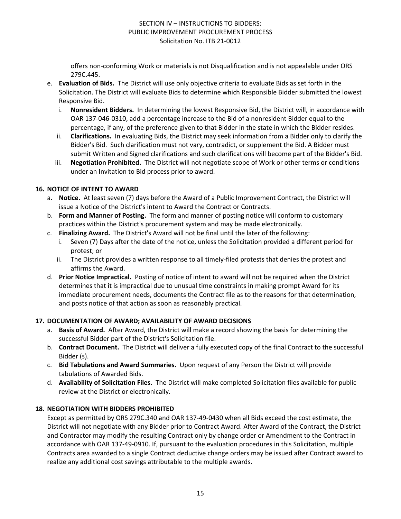offers non-conforming Work or materials is not Disqualification and is not appealable under ORS 279C.445.

- e. **Evaluation of Bids.** The District will use only objective criteria to evaluate Bids as set forth in the Solicitation. The District will evaluate Bids to determine which Responsible Bidder submitted the lowest Responsive Bid.
	- i. **Nonresident Bidders.** In determining the lowest Responsive Bid, the District will, in accordance with OAR 137-046-0310, add a percentage increase to the Bid of a nonresident Bidder equal to the percentage, if any, of the preference given to that Bidder in the state in which the Bidder resides.
	- ii. **Clarifications.** In evaluating Bids, the District may seek information from a Bidder only to clarify the Bidder's Bid. Such clarification must not vary, contradict, or supplement the Bid. A Bidder must submit Written and Signed clarifications and such clarifications will become part of the Bidder's Bid.
	- iii. **Negotiation Prohibited.** The District will not negotiate scope of Work or other terms or conditions under an Invitation to Bid process prior to award.

## **16. NOTICE OF INTENT TO AWARD**

- a. **Notice.** At least seven (7) days before the Award of a Public Improvement Contract, the District will issue a Notice of the District's intent to Award the Contract or Contracts.
- b. **Form and Manner of Posting.** The form and manner of posting notice will conform to customary practices within the District's procurement system and may be made electronically.
- c. **Finalizing Award.** The District's Award will not be final until the later of the following:
	- Seven (7) Days after the date of the notice, unless the Solicitation provided a different period for protest; or
	- ii. The District provides a written response to all timely-filed protests that denies the protest and affirms the Award.
- d. **Prior Notice Impractical.** Posting of notice of intent to award will not be required when the District determines that it is impractical due to unusual time constraints in making prompt Award for its immediate procurement needs, documents the Contract file as to the reasons for that determination, and posts notice of that action as soon as reasonably practical.

## **17. DOCUMENTATION OF AWARD; AVAILABILITY OF AWARD DECISIONS**

- a. **Basis of Award.** After Award, the District will make a record showing the basis for determining the successful Bidder part of the District's Solicitation file.
- b. **Contract Document.** The District will deliver a fully executed copy of the final Contract to the successful Bidder (s).
- c. **Bid Tabulations and Award Summaries.** Upon request of any Person the District will provide tabulations of Awarded Bids.
- d. **Availability of Solicitation Files.** The District will make completed Solicitation files available for public review at the District or electronically.

# **18. NEGOTIATION WITH BIDDERS PROHIBITED**

Except as permitted by ORS 279C.340 and OAR 137-49-0430 when all Bids exceed the cost estimate, the District will not negotiate with any Bidder prior to Contract Award. After Award of the Contract, the District and Contractor may modify the resulting Contract only by change order or Amendment to the Contract in accordance with OAR 137-49-0910. If, pursuant to the evaluation procedures in this Solicitation, multiple Contracts area awarded to a single Contract deductive change orders may be issued after Contract award to realize any additional cost savings attributable to the multiple awards.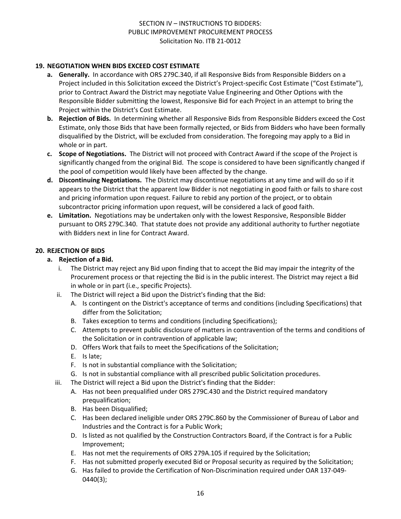## **19. NEGOTIATION WHEN BIDS EXCEED COST ESTIMATE**

- **a. Generally.** In accordance with ORS 279C.340, if all Responsive Bids from Responsible Bidders on a Project included in this Solicitation exceed the District's Project-specific Cost Estimate ("Cost Estimate"), prior to Contract Award the District may negotiate Value Engineering and Other Options with the Responsible Bidder submitting the lowest, Responsive Bid for each Project in an attempt to bring the Project within the District's Cost Estimate.
- **b. Rejection of Bids.** In determining whether all Responsive Bids from Responsible Bidders exceed the Cost Estimate, only those Bids that have been formally rejected, or Bids from Bidders who have been formally disqualified by the District, will be excluded from consideration. The foregoing may apply to a Bid in whole or in part.
- **c. Scope of Negotiations.** The District will not proceed with Contract Award if the scope of the Project is significantly changed from the original Bid. The scope is considered to have been significantly changed if the pool of competition would likely have been affected by the change.
- **d. Discontinuing Negotiations.** The District may discontinue negotiations at any time and will do so if it appears to the District that the apparent low Bidder is not negotiating in good faith or fails to share cost and pricing information upon request. Failure to rebid any portion of the project, or to obtain subcontractor pricing information upon request, will be considered a lack of good faith.
- **e. Limitation.** Negotiations may be undertaken only with the lowest Responsive, Responsible Bidder pursuant to ORS 279C.340. That statute does not provide any additional authority to further negotiate with Bidders next in line for Contract Award.

## **20. REJECTION OF BIDS**

#### **a. Rejection of a Bid.**

- i. The District may reject any Bid upon finding that to accept the Bid may impair the integrity of the Procurement process or that rejecting the Bid is in the public interest. The District may reject a Bid in whole or in part (i.e., specific Projects).
- ii. The District will reject a Bid upon the District's finding that the Bid:
	- A. Is contingent on the District's acceptance of terms and conditions (including Specifications) that differ from the Solicitation;
	- B. Takes exception to terms and conditions (including Specifications);
	- C. Attempts to prevent public disclosure of matters in contravention of the terms and conditions of the Solicitation or in contravention of applicable law;
	- D. Offers Work that fails to meet the Specifications of the Solicitation;
	- E. Is late;
	- F. Is not in substantial compliance with the Solicitation;
	- G. Is not in substantial compliance with all prescribed public Solicitation procedures.
- iii. The District will reject a Bid upon the District's finding that the Bidder:
	- A. Has not been prequalified under ORS 279C.430 and the District required mandatory prequalification;
	- B. Has been Disqualified;
	- C. Has been declared ineligible under ORS 279C.860 by the Commissioner of Bureau of Labor and Industries and the Contract is for a Public Work;
	- D. Is listed as not qualified by the Construction Contractors Board, if the Contract is for a Public Improvement;
	- E. Has not met the requirements of ORS 279A.105 if required by the Solicitation;
	- F. Has not submitted properly executed Bid or Proposal security as required by the Solicitation;
	- G. Has failed to provide the Certification of Non-Discrimination required under OAR 137-049- 0440(3);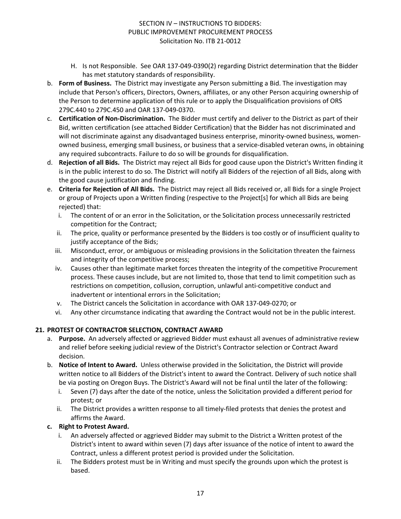- H. Is not Responsible. See OAR 137-049-0390(2) regarding District determination that the Bidder has met statutory standards of responsibility.
- b. **Form of Business.** The District may investigate any Person submitting a Bid. The investigation may include that Person's officers, Directors, Owners, affiliates, or any other Person acquiring ownership of the Person to determine application of this rule or to apply the Disqualification provisions of ORS 279C.440 to 279C.450 and OAR 137-049-0370.
- c. **Certification of Non-Discrimination.** The Bidder must certify and deliver to the District as part of their Bid, written certification (see attached Bidder Certification) that the Bidder has not discriminated and will not discriminate against any disadvantaged business enterprise, minority-owned business, womenowned business, emerging small business, or business that a service-disabled veteran owns, in obtaining any required subcontracts. Failure to do so will be grounds for disqualification.
- d. **Rejection of all Bids.** The District may reject all Bids for good cause upon the District's Written finding it is in the public interest to do so. The District will notify all Bidders of the rejection of all Bids, along with the good cause justification and finding.
- e. **Criteria for Rejection of All Bids.** The District may reject all Bids received or, all Bids for a single Project or group of Projects upon a Written finding (respective to the Project[s] for which all Bids are being rejected) that:
	- i. The content of or an error in the Solicitation, or the Solicitation process unnecessarily restricted competition for the Contract;
	- ii. The price, quality or performance presented by the Bidders is too costly or of insufficient quality to justify acceptance of the Bids;
	- iii. Misconduct, error, or ambiguous or misleading provisions in the Solicitation threaten the fairness and integrity of the competitive process;
	- iv. Causes other than legitimate market forces threaten the integrity of the competitive Procurement process. These causes include, but are not limited to, those that tend to limit competition such as restrictions on competition, collusion, corruption, unlawful anti-competitive conduct and inadvertent or intentional errors in the Solicitation;
	- v. The District cancels the Solicitation in accordance with OAR 137-049-0270; or
	- vi. Any other circumstance indicating that awarding the Contract would not be in the public interest.

# **21. PROTEST OF CONTRACTOR SELECTION, CONTRACT AWARD**

- a. **Purpose.** An adversely affected or aggrieved Bidder must exhaust all avenues of administrative review and relief before seeking judicial review of the District's Contractor selection or Contract Award decision.
- b. **Notice of Intent to Award.** Unless otherwise provided in the Solicitation, the District will provide written notice to all Bidders of the District's intent to award the Contract. Delivery of such notice shall be via posting on Oregon Buys. The District's Award will not be final until the later of the following:
	- i. Seven (7) days after the date of the notice, unless the Solicitation provided a different period for protest; or
	- ii. The District provides a written response to all timely-filed protests that denies the protest and affirms the Award.

## **c. Right to Protest Award.**

- i. An adversely affected or aggrieved Bidder may submit to the District a Written protest of the District's intent to award within seven (7) days after issuance of the notice of intent to award the Contract, unless a different protest period is provided under the Solicitation.
- ii. The Bidders protest must be in Writing and must specify the grounds upon which the protest is based.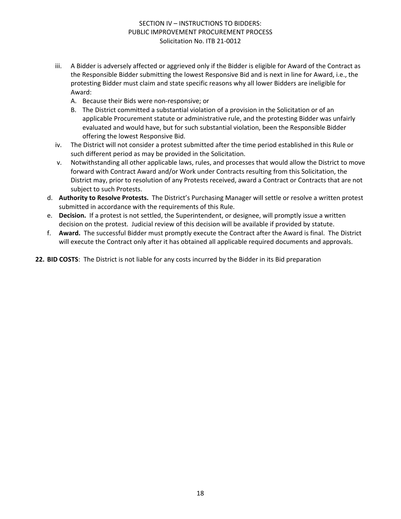- iii. A Bidder is adversely affected or aggrieved only if the Bidder is eligible for Award of the Contract as the Responsible Bidder submitting the lowest Responsive Bid and is next in line for Award, i.e., the protesting Bidder must claim and state specific reasons why all lower Bidders are ineligible for Award:
	- A. Because their Bids were non-responsive; or
	- B. The District committed a substantial violation of a provision in the Solicitation or of an applicable Procurement statute or administrative rule, and the protesting Bidder was unfairly evaluated and would have, but for such substantial violation, been the Responsible Bidder offering the lowest Responsive Bid.
- iv. The District will not consider a protest submitted after the time period established in this Rule or such different period as may be provided in the Solicitation.
- v. Notwithstanding all other applicable laws, rules, and processes that would allow the District to move forward with Contract Award and/or Work under Contracts resulting from this Solicitation, the District may, prior to resolution of any Protests received, award a Contract or Contracts that are not subject to such Protests.
- d. **Authority to Resolve Protests.** The District's Purchasing Manager will settle or resolve a written protest submitted in accordance with the requirements of this Rule.
- e. **Decision.** If a protest is not settled, the Superintendent, or designee, will promptly issue a written decision on the protest. Judicial review of this decision will be available if provided by statute.
- f. **Award.** The successful Bidder must promptly execute the Contract after the Award is final. The District will execute the Contract only after it has obtained all applicable required documents and approvals.

**22. BID COSTS**: The District is not liable for any costs incurred by the Bidder in its Bid preparation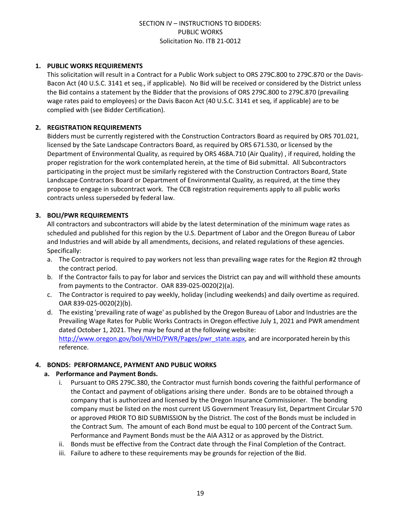#### **1. PUBLIC WORKS REQUIREMENTS**

This solicitation will result in a Contract for a Public Work subject to ORS 279C.800 to 279C.870 or the Davis-Bacon Act (40 U.S.C. 3141 et seq., if applicable). No Bid will be received or considered by the District unless the Bid contains a statement by the Bidder that the provisions of ORS 279C.800 to 279C.870 (prevailing wage rates paid to employees) or the Davis Bacon Act (40 U.S.C. 3141 et seq, if applicable) are to be complied with (see Bidder Certification).

## **2. REGISTRATION REQUIREMENTS**

Bidders must be currently registered with the Construction Contractors Board as required by ORS 701.021, licensed by the Sate Landscape Contractors Board, as required by ORS 671.530, or licensed by the Department of Environmental Quality, as required by ORS 468A.710 (Air Quality) , if required, holding the proper registration for the work contemplated herein, at the time of Bid submittal. All Subcontractors participating in the project must be similarly registered with the Construction Contractors Board, State Landscape Contractors Board or Department of Environmental Quality, as required, at the time they propose to engage in subcontract work. The CCB registration requirements apply to all public works contracts unless superseded by federal law.

## **3. BOLI/PWR REQUIREMENTS**

All contractors and subcontractors will abide by the latest determination of the minimum wage rates as scheduled and published for this region by the U.S. Department of Labor and the Oregon Bureau of Labor and Industries and will abide by all amendments, decisions, and related regulations of these agencies. Specifically:

- a. The Contractor is required to pay workers not less than prevailing wage rates for the Region #2 through the contract period.
- b. If the Contractor fails to pay for labor and services the District can pay and will withhold these amounts from payments to the Contractor. OAR 839-025-0020(2)(a).
- c. The Contractor is required to pay weekly, holiday (including weekends) and daily overtime as required. OAR 839-025-0020(2)(b).
- d. The existing 'prevailing rate of wage' as published by the Oregon Bureau of Labor and Industries are the Prevailing Wage Rates for Public Works Contracts in Oregon effective July 1, 2021 and PWR amendment dated October 1, 2021. They may be found at the following website: [http://www.oregon.gov/boli/WHD/PWR/Pages/pwr\\_state.aspx](http://www.oregon.gov/boli/WHD/PWR/Pages/pwr_state.aspx), and are incorporated herein by this reference.

#### **4. BONDS: PERFORMANCE, PAYMENT AND PUBLIC WORKS**

#### **a. Performance and Payment Bonds.**

- i. Pursuant to ORS 279C.380, the Contractor must furnish bonds covering the faithful performance of the Contact and payment of obligations arising there under. Bonds are to be obtained through a company that is authorized and licensed by the Oregon Insurance Commissioner. The bonding company must be listed on the most current US Government Treasury list, Department Circular 570 or approved PRIOR TO BID SUBMISSION by the District. The cost of the Bonds must be included in the Contract Sum. The amount of each Bond must be equal to 100 percent of the Contract Sum. Performance and Payment Bonds must be the AIA A312 or as approved by the District.
- ii. Bonds must be effective from the Contract date through the Final Completion of the Contract.
- iii. Failure to adhere to these requirements may be grounds for rejection of the Bid.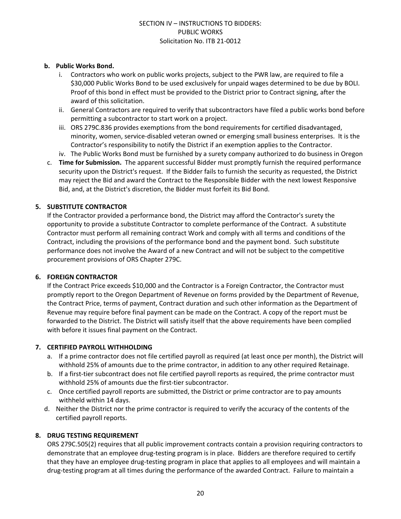## **b. Public Works Bond.**

- i. Contractors who work on public works projects, subject to the PWR law, are required to file a \$30,000 Public Works Bond to be used exclusively for unpaid wages determined to be due by BOLI. Proof of this bond in effect must be provided to the District prior to Contract signing, after the award of this solicitation.
- ii. General Contractors are required to verify that subcontractors have filed a public works bond before permitting a subcontractor to start work on a project.
- iii. ORS 279C.836 provides exemptions from the bond requirements for certified disadvantaged, minority, women, service-disabled veteran owned or emerging small business enterprises. It is the Contractor's responsibility to notify the District if an exemption applies to the Contractor.
- iv. The Public Works Bond must be furnished by a surety company authorized to do business in Oregon
- c. **Time for Submission.** The apparent successful Bidder must promptly furnish the required performance security upon the District's request. If the Bidder fails to furnish the security as requested, the District may reject the Bid and award the Contract to the Responsible Bidder with the next lowest Responsive Bid, and, at the District's discretion, the Bidder must forfeit its Bid Bond.

## **5. SUBSTITUTE CONTRACTOR**

If the Contractor provided a performance bond, the District may afford the Contractor's surety the opportunity to provide a substitute Contractor to complete performance of the Contract. A substitute Contractor must perform all remaining contract Work and comply with all terms and conditions of the Contract, including the provisions of the performance bond and the payment bond. Such substitute performance does not involve the Award of a new Contract and will not be subject to the competitive procurement provisions of ORS Chapter 279C.

#### **6. FOREIGN CONTRACTOR**

If the Contract Price exceeds \$10,000 and the Contractor is a Foreign Contractor, the Contractor must promptly report to the Oregon Department of Revenue on forms provided by the Department of Revenue, the Contract Price, terms of payment, Contract duration and such other information as the Department of Revenue may require before final payment can be made on the Contract. A copy of the report must be forwarded to the District. The District will satisfy itself that the above requirements have been complied with before it issues final payment on the Contract.

#### **7. CERTIFIED PAYROLL WITHHOLDING**

- a. If a prime contractor does not file certified payroll as required (at least once per month), the District will withhold 25% of amounts due to the prime contractor, in addition to any other required Retainage.
- b. If a first-tier subcontract does not file certified payroll reports as required, the prime contractor must withhold 25% of amounts due the first-tier subcontractor.
- c. Once certified payroll reports are submitted, the District or prime contractor are to pay amounts withheld within 14 days.
- d. Neither the District nor the prime contractor is required to verify the accuracy of the contents of the certified payroll reports.

## **8. DRUG TESTING REQUIREMENT**

ORS 279C.505(2) requires that all public improvement contracts contain a provision requiring contractors to demonstrate that an employee drug-testing program is in place. Bidders are therefore required to certify that they have an employee drug-testing program in place that applies to all employees and will maintain a drug-testing program at all times during the performance of the awarded Contract. Failure to maintain a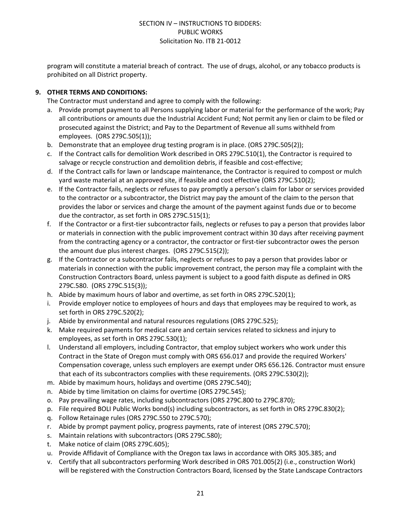program will constitute a material breach of contract. The use of drugs, alcohol, or any tobacco products is prohibited on all District property.

## **9. OTHER TERMS AND CONDITIONS:**

The Contractor must understand and agree to comply with the following:

- a. Provide prompt payment to all Persons supplying labor or material for the performance of the work; Pay all contributions or amounts due the Industrial Accident Fund; Not permit any lien or claim to be filed or prosecuted against the District; and Pay to the Department of Revenue all sums withheld from employees. (ORS 279C.505(1));
- b. Demonstrate that an employee drug testing program is in place. (ORS 279C.505(2));
- c. If the Contract calls for demolition Work described in ORS 279C.510(1), the Contractor is required to salvage or recycle construction and demolition debris, if feasible and cost-effective;
- d. If the Contract calls for lawn or landscape maintenance, the Contractor is required to compost or mulch yard waste material at an approved site, if feasible and cost effective (ORS 279C.510(2);
- e. If the Contractor fails, neglects or refuses to pay promptly a person's claim for labor or services provided to the contractor or a subcontractor, the District may pay the amount of the claim to the person that provides the labor or services and charge the amount of the payment against funds due or to become due the contractor, as set forth in ORS 279C.515(1);
- f. If the Contractor or a first-tier subcontractor fails, neglects or refuses to pay a person that provides labor or materials in connection with the public improvement contract within 30 days after receiving payment from the contracting agency or a contractor, the contractor or first-tier subcontractor owes the person the amount due plus interest charges. (ORS 279C.515(2));
- g. If the Contractor or a subcontractor fails, neglects or refuses to pay a person that provides labor or materials in connection with the public improvement contract, the person may file a complaint with the Construction Contractors Board, unless payment is subject to a good faith dispute as defined in ORS 279C.580. (ORS 279C.515(3));
- h. Abide by maximum hours of labor and overtime, as set forth in ORS 279C.520(1);
- i. Provide employer notice to employees of hours and days that employees may be required to work, as set forth in ORS 279C.520(2);
- j. Abide by environmental and natural resources regulations (ORS 279C.525);
- k. Make required payments for medical care and certain services related to sickness and injury to employees, as set forth in ORS 279C.530(1);
- l. Understand all employers, including Contractor, that employ subject workers who work under this Contract in the State of Oregon must comply with ORS 656.017 and provide the required Workers' Compensation coverage, unless such employers are exempt under ORS 656.126. Contractor must ensure that each of its subcontractors complies with these requirements. (ORS 279C.530(2));
- m. Abide by maximum hours, holidays and overtime (ORS 279C.540);
- n. Abide by time limitation on claims for overtime (ORS 279C.545);
- o. Pay prevailing wage rates, including subcontractors (ORS 279C.800 to 279C.870);
- p. File required BOLI Public Works bond(s) including subcontractors, as set forth in ORS 279C.830(2);
- q. Follow Retainage rules (ORS 279C.550 to 279C.570);
- r. Abide by prompt payment policy, progress payments, rate of interest (ORS 279C.570);
- s. Maintain relations with subcontractors (ORS 279C.580);
- t. Make notice of claim (ORS 279C.605);
- u. Provide Affidavit of Compliance with the Oregon tax laws in accordance with ORS 305.385; and
- v. Certify that all subcontractors performing Work described in ORS 701.005(2) (i.e., construction Work) will be registered with the Construction Contractors Board, licensed by the State Landscape Contractors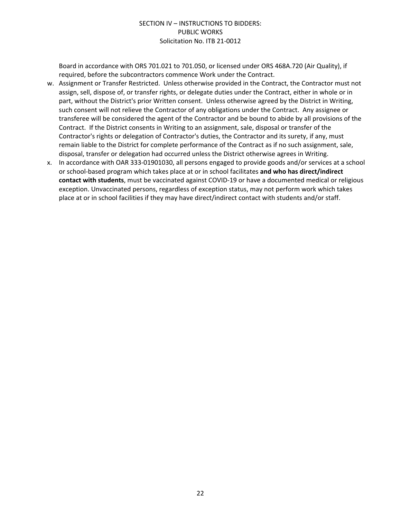Board in accordance with ORS 701.021 to 701.050, or licensed under ORS 468A.720 (Air Quality), if required, before the subcontractors commence Work under the Contract.

- w. Assignment or Transfer Restricted. Unless otherwise provided in the Contract, the Contractor must not assign, sell, dispose of, or transfer rights, or delegate duties under the Contract, either in whole or in part, without the District's prior Written consent. Unless otherwise agreed by the District in Writing, such consent will not relieve the Contractor of any obligations under the Contract. Any assignee or transferee will be considered the agent of the Contractor and be bound to abide by all provisions of the Contract. If the District consents in Writing to an assignment, sale, disposal or transfer of the Contractor's rights or delegation of Contractor's duties, the Contractor and its surety, if any, must remain liable to the District for complete performance of the Contract as if no such assignment, sale, disposal, transfer or delegation had occurred unless the District otherwise agrees in Writing.
- x. In accordance with OAR 333-01901030, all persons engaged to provide goods and/or services at a school or school-based program which takes place at or in school facilitates **and who has direct/indirect contact with students**, must be vaccinated against COVID-19 or have a documented medical or religious exception. Unvaccinated persons, regardless of exception status, may not perform work which takes place at or in school facilities if they may have direct/indirect contact with students and/or staff.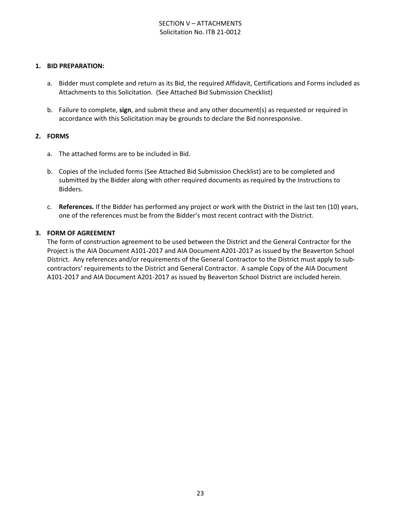## SECTION V – ATTACHMENTS Solicitation No. ITB 21-0012

#### **1. BID PREPARATION:**

- a. Bidder must complete and return as its Bid, the required Affidavit, Certifications and Forms included as Attachments to this Solicitation. (See Attached Bid Submission Checklist)
- b. Failure to complete, **sign**, and submit these and any other document(s) as requested or required in accordance with this Solicitation may be grounds to declare the Bid nonresponsive.

#### **2. FORMS**

- a. The attached forms are to be included in Bid.
- b. Copies of the included forms (See Attached Bid Submission Checklist) are to be completed and submitted by the Bidder along with other required documents as required by the Instructions to Bidders.
- c. **References.** If the Bidder has performed any project or work with the District in the last ten (10) years, one of the references must be from the Bidder's most recent contract with the District.

#### **3. FORM OF AGREEMENT**

The form of construction agreement to be used between the District and the General Contractor for the Project is the AIA Document A101-2017 and AIA Document A201-2017 as issued by the Beaverton School District. Any references and/or requirements of the General Contractor to the District must apply to subcontractors' requirements to the District and General Contractor. A sample Copy of the AIA Document A101-2017 and AIA Document A201-2017 as issued by Beaverton School District are included herein.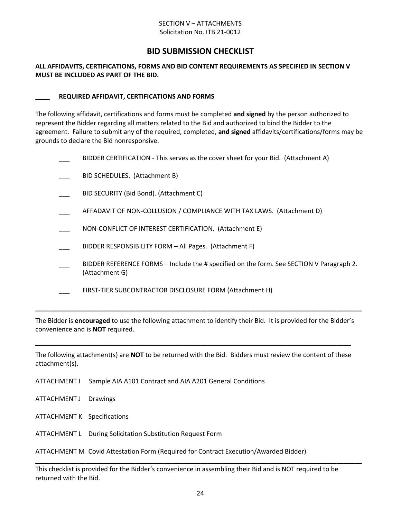#### SECTION V – ATTACHMENTS Solicitation No. ITB 21-0012

# **BID SUBMISSION CHECKLIST**

#### **ALL AFFIDAVITS, CERTIFICATIONS, FORMS AND BID CONTENT REQUIREMENTS AS SPECIFIED IN SECTION V MUST BE INCLUDED AS PART OF THE BID.**

#### **\_\_\_\_ REQUIRED AFFIDAVIT, CERTIFICATIONS AND FORMS**

The following affidavit, certifications and forms must be completed **and signed** by the person authorized to represent the Bidder regarding all matters related to the Bid and authorized to bind the Bidder to the agreement. Failure to submit any of the required, completed, **and signed** affidavits/certifications/forms may be grounds to declare the Bid nonresponsive.

|  | BIDDER CERTIFICATION - This serves as the cover sheet for your Bid. (Attachment A)                         |
|--|------------------------------------------------------------------------------------------------------------|
|  | BID SCHEDULES. (Attachment B)                                                                              |
|  | BID SECURITY (Bid Bond). (Attachment C)                                                                    |
|  | AFFADAVIT OF NON-COLLUSION / COMPLIANCE WITH TAX LAWS. (Attachment D)                                      |
|  | NON-CONFLICT OF INTEREST CERTIFICATION. (Attachment E)                                                     |
|  | BIDDER RESPONSIBILITY FORM - All Pages. (Attachment F)                                                     |
|  | BIDDER REFERENCE FORMS – Include the # specified on the form. See SECTION V Paragraph 2.<br>(Attachment G) |
|  | FIRST-TIER SUBCONTRACTOR DISCLOSURE FORM (Attachment H)                                                    |
|  |                                                                                                            |

The Bidder is **encouraged** to use the following attachment to identify their Bid. It is provided for the Bidder's convenience and is **NOT** required.

The following attachment(s) are **NOT** to be returned with the Bid. Bidders must review the content of these attachment(s).

**\_\_\_\_\_\_\_\_\_\_\_\_\_\_\_\_\_\_\_\_\_\_\_\_\_\_\_\_\_\_\_\_\_\_\_\_\_\_\_\_\_\_\_\_\_\_\_\_\_\_\_\_\_\_\_\_\_\_\_\_\_\_\_\_\_\_\_\_\_\_\_\_\_\_\_\_\_\_\_\_\_\_\_\_\_\_\_\_**

- ATTACHMENT I Sample AIA A101 Contract and AIA A201 General Conditions
- ATTACHMENT J Drawings
- ATTACHMENT K Specifications
- ATTACHMENT L During Solicitation Substitution Request Form

ATTACHMENT M Covid Attestation Form (Required for Contract Execution/Awarded Bidder)

This checklist is provided for the Bidder's convenience in assembling their Bid and is NOT required to be returned with the Bid.

**\_\_\_\_\_\_\_\_\_\_\_\_\_\_\_\_\_\_\_\_\_\_\_\_\_\_\_\_\_\_\_\_\_\_\_\_\_\_\_\_\_\_\_\_\_\_\_\_\_\_\_\_\_\_\_\_\_\_\_\_\_\_\_\_\_\_\_\_\_\_\_\_\_\_\_\_\_\_\_\_\_\_\_\_\_\_\_\_\_\_\_**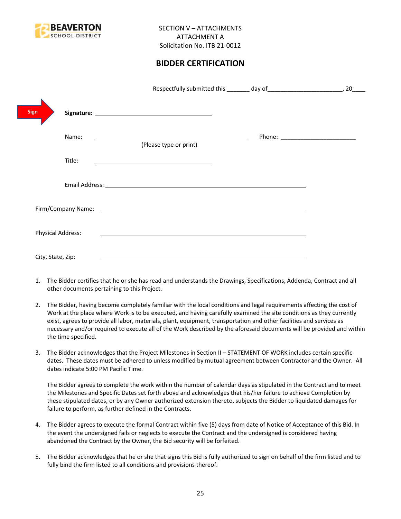

# **BIDDER CERTIFICATION**

|                          |                                                                                                                        | 20                                |
|--------------------------|------------------------------------------------------------------------------------------------------------------------|-----------------------------------|
| Sign                     |                                                                                                                        |                                   |
| Name:                    | (Please type or print)                                                                                                 | Phone: __________________________ |
| Title:                   |                                                                                                                        |                                   |
|                          |                                                                                                                        |                                   |
|                          |                                                                                                                        |                                   |
| <b>Physical Address:</b> | <u> 1989 - Johann Harry Barn, mars and deutscher Stadt and deutscher Stadt and deutscher Stadt and deutscher Stadt</u> |                                   |
| City, State, Zip:        |                                                                                                                        |                                   |

- 1. The Bidder certifies that he or she has read and understands the Drawings, Specifications, Addenda, Contract and all other documents pertaining to this Project.
- 2. The Bidder, having become completely familiar with the local conditions and legal requirements affecting the cost of Work at the place where Work is to be executed, and having carefully examined the site conditions as they currently exist, agrees to provide all labor, materials, plant, equipment, transportation and other facilities and services as necessary and/or required to execute all of the Work described by the aforesaid documents will be provided and within the time specified.
- 3. The Bidder acknowledges that the Project Milestones in Section II STATEMENT OF WORK includes certain specific dates. These dates must be adhered to unless modified by mutual agreement between Contractor and the Owner. All dates indicate 5:00 PM Pacific Time.

The Bidder agrees to complete the work within the number of calendar days as stipulated in the Contract and to meet the Milestones and Specific Dates set forth above and acknowledges that his/her failure to achieve Completion by these stipulated dates, or by any Owner authorized extension thereto, subjects the Bidder to liquidated damages for failure to perform, as further defined in the Contracts.

- 4. The Bidder agrees to execute the formal Contract within five (5) days from date of Notice of Acceptance of this Bid. In the event the undersigned fails or neglects to execute the Contract and the undersigned is considered having abandoned the Contract by the Owner, the Bid security will be forfeited.
- 5. The Bidder acknowledges that he or she that signs this Bid is fully authorized to sign on behalf of the firm listed and to fully bind the firm listed to all conditions and provisions thereof.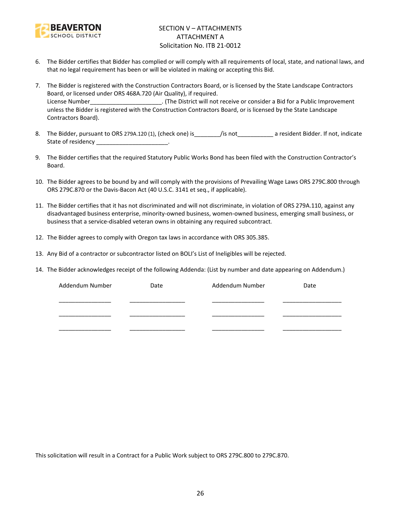

## SECTION V – ATTACHMENTS ATTACHMENT A Solicitation No. ITB 21-0012

- 6. The Bidder certifies that Bidder has complied or will comply with all requirements of local, state, and national laws, and that no legal requirement has been or will be violated in making or accepting this Bid.
- 7. The Bidder is registered with the Construction Contractors Board, or is licensed by the State Landscape Contractors Board, or licensed under ORS 468A.720 (Air Quality), if required. License Number\_\_\_\_\_\_\_\_\_\_\_\_\_\_\_\_\_\_\_\_\_\_. (The District will not receive or consider a Bid for a Public Improvement unless the Bidder is registered with the Construction Contractors Board, or is licensed by the State Landscape Contractors Board).
- 8. The Bidder, pursuant to ORS 279A.120 (1), (check one) is\_\_\_\_\_\_\_\_/is not\_\_\_\_\_\_\_\_\_\_\_ a resident Bidder. If not, indicate State of residency and the state of residency
- 9. The Bidder certifies that the required Statutory Public Works Bond has been filed with the Construction Contractor's Board.
- 10. The Bidder agrees to be bound by and will comply with the provisions of Prevailing Wage Laws ORS 279C.800 through ORS 279C.870 or the Davis-Bacon Act (40 U.S.C. 3141 et seq., if applicable).
- 11. The Bidder certifies that it has not discriminated and will not discriminate, in violation of ORS 279A.110, against any disadvantaged business enterprise, minority-owned business, women-owned business, emerging small business, or business that a service-disabled veteran owns in obtaining any required subcontract.
- 12. The Bidder agrees to comply with Oregon tax laws in accordance with ORS 305.385.
- 13. Any Bid of a contractor or subcontractor listed on BOLI's List of Ineligibles will be rejected.
- 14. The Bidder acknowledges receipt of the following Addenda: (List by number and date appearing on Addendum.)

| Addendum Number | Date | Addendum Number | Date |
|-----------------|------|-----------------|------|
|                 |      |                 |      |
|                 |      |                 |      |
|                 |      |                 |      |

This solicitation will result in a Contract for a Public Work subject to ORS 279C.800 to 279C.870.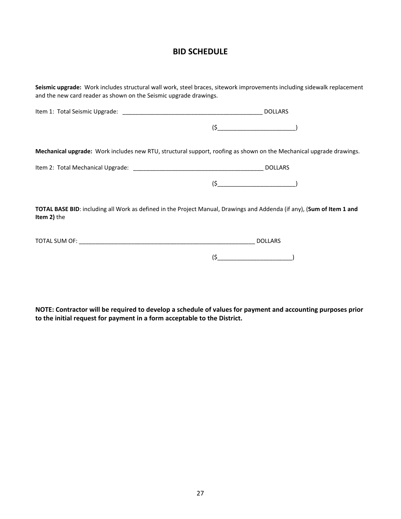# **BID SCHEDULE**

| Seismic upgrade: Work includes structural wall work, steel braces, sitework improvements including sidewalk replacement<br>and the new card reader as shown on the Seismic upgrade drawings. |                                                                                                                        |  |  |  |
|----------------------------------------------------------------------------------------------------------------------------------------------------------------------------------------------|------------------------------------------------------------------------------------------------------------------------|--|--|--|
|                                                                                                                                                                                              | <b>DOLLARS</b>                                                                                                         |  |  |  |
|                                                                                                                                                                                              |                                                                                                                        |  |  |  |
|                                                                                                                                                                                              | Mechanical upgrade: Work includes new RTU, structural support, roofing as shown on the Mechanical upgrade drawings.    |  |  |  |
|                                                                                                                                                                                              |                                                                                                                        |  |  |  |
|                                                                                                                                                                                              | $(5$ (5                                                                                                                |  |  |  |
| <b>Item 2)</b> the                                                                                                                                                                           | TOTAL BASE BID: including all Work as defined in the Project Manual, Drawings and Addenda (if any), (Sum of Item 1 and |  |  |  |
|                                                                                                                                                                                              | <b>DOLLARS</b>                                                                                                         |  |  |  |
|                                                                                                                                                                                              | $(\xi$                                                                                                                 |  |  |  |

**NOTE: Contractor will be required to develop a schedule of values for payment and accounting purposes prior to the initial request for payment in a form acceptable to the District.**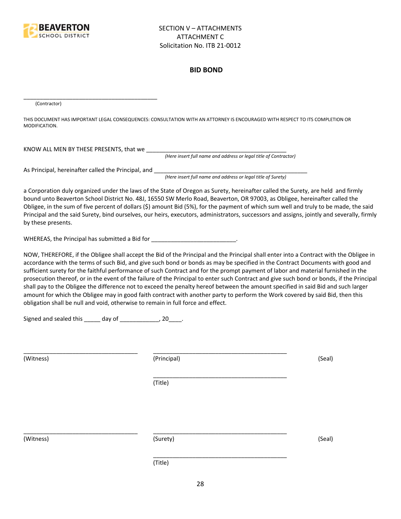

#### **BID BOND**

(Contractor)

THIS DOCUMENT HAS IMPORTANT LEGAL CONSEQUENCES: CONSULTATION WITH AN ATTORNEY IS ENCOURAGED WITH RESPECT TO ITS COMPLETION OR MODIFICATION.

KNOW ALL MEN BY THESE PRESENTS, that we \_\_\_\_\_\_\_\_\_\_\_\_\_\_\_\_\_\_\_\_\_\_\_\_\_\_\_\_\_\_\_\_\_\_\_\_\_\_\_\_\_\_\_

*(Here insert full name and address or legal title of Contractor)*

As Principal, hereinafter called the Principal, and \_\_\_\_\_\_\_\_\_\_\_\_\_\_\_\_\_\_\_\_\_\_\_\_\_\_\_\_

\_\_\_\_\_\_\_\_\_\_\_\_\_\_\_\_\_\_\_\_\_\_\_\_\_\_\_\_\_\_\_\_\_\_\_\_\_\_\_\_\_

*(Here insert full name and address or legal title of Surety)*

a Corporation duly organized under the laws of the State of Oregon as Surety, hereinafter called the Surety, are held and firmly bound unto Beaverton School District No. 48J, 16550 SW Merlo Road, Beaverton, OR 97003, as Obligee, hereinafter called the Obligee, in the sum of five percent of dollars (\$) amount Bid (5%), for the payment of which sum well and truly to be made, the said Principal and the said Surety, bind ourselves, our heirs, executors, administrators, successors and assigns, jointly and severally, firmly by these presents.

WHEREAS, the Principal has submitted a Bid for \_\_\_\_\_\_\_\_\_\_\_\_\_\_\_\_\_\_\_\_\_\_\_\_\_\_\_\_\_\_\_\_\_

NOW, THEREFORE, if the Obligee shall accept the Bid of the Principal and the Principal shall enter into a Contract with the Obligee in accordance with the terms of such Bid, and give such bond or bonds as may be specified in the Contract Documents with good and sufficient surety for the faithful performance of such Contract and for the prompt payment of labor and material furnished in the prosecution thereof, or in the event of the failure of the Principal to enter such Contract and give such bond or bonds, if the Principal shall pay to the Obligee the difference not to exceed the penalty hereof between the amount specified in said Bid and such larger amount for which the Obligee may in good faith contract with another party to perform the Work covered by said Bid, then this obligation shall be null and void, otherwise to remain in full force and effect.

\_\_\_\_\_\_\_\_\_\_\_\_\_\_\_\_\_\_\_\_\_\_\_\_\_\_\_\_\_\_\_\_\_\_\_\_\_\_\_\_\_

\_\_\_\_\_\_\_\_\_\_\_\_\_\_\_\_\_\_\_\_\_\_\_\_\_\_\_\_\_\_\_\_\_\_\_\_\_\_\_\_\_

Signed and sealed this \_\_\_\_\_ day of \_\_\_\_\_\_\_\_\_\_\_\_, 20\_\_\_\_.

(Witness) (Principal) (Seal)

(Title)

\_\_\_\_\_\_\_\_\_\_\_\_\_\_\_\_\_\_\_\_\_\_\_\_\_\_\_\_\_\_\_\_\_\_\_ \_\_\_\_\_\_\_\_\_\_\_\_\_\_\_\_\_\_\_\_\_\_\_\_\_\_\_\_\_\_\_\_\_\_\_\_\_\_\_\_\_

(Witness) (Surety) (Seal)

\_\_\_\_\_\_\_\_\_\_\_\_\_\_\_\_\_\_\_\_\_\_\_\_\_\_\_\_\_\_\_\_\_\_\_ \_\_\_\_\_\_\_\_\_\_\_\_\_\_\_\_\_\_\_\_\_\_\_\_\_\_\_\_\_\_\_\_\_\_\_\_\_\_\_\_\_

(Title)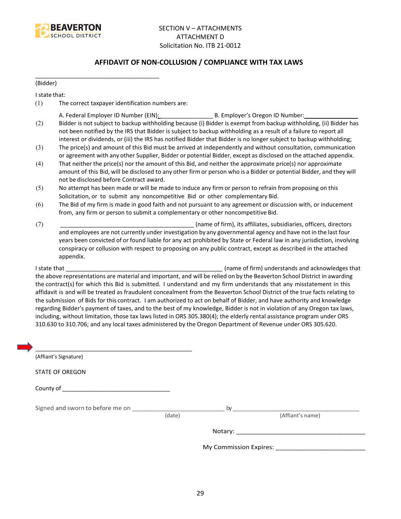

## **AFFIDAVIT OF NON-COLLUSION / COMPLIANCE WITH TAX LAWS**

(Bidder)

I state that:

(1) The correct taxpayer identification numbers are:

\_\_\_\_\_\_\_\_\_\_\_\_\_\_\_\_\_\_\_\_\_\_\_\_\_\_\_\_\_\_\_\_\_\_\_\_\_\_

- A. Federal Employer ID Number (EIN): \_\_\_\_\_\_\_\_\_\_\_\_\_\_\_\_ B. Employer's Oregon ID Number: \_\_\_\_\_\_\_\_\_\_\_\_\_\_\_\_
- (2) Bidder is not subject to backup withholding because (i) Bidder is exempt from backup withholding, (ii) Bidder has not been notified by the IRS that Bidder is subject to backup withholding as a result of a failure to report all interest or dividends, or (iii) the IRS has notified Bidder that Bidder is no longer subject to backup withholding;
- (3) The price(s) and amount of this Bid must be arrived at independently and without consultation, communication or agreement with any other Supplier, Bidder or potential Bidder, except as disclosed on the attached appendix.
- (4) That neither the price(s) nor the amount of this Bid, and neither the approximate price(s) nor approximate amount of this Bid, will be disclosed to any other firm or person who is a Bidder or potential Bidder, and they will not be disclosed before Contract award.
- (5) No attempt has been made or will be made to induce any firm or person to refrain from proposing on this Solicitation, or to submit any noncompetitive Bid or other complementary Bid.
- (6) The Bid of my firm is made in good faith and not pursuant to any agreement or discussion with, or inducement from, any firm or person to submit a complementary or other noncompetitive Bid.
- (7) \_\_\_\_\_\_\_\_\_\_\_\_\_\_\_\_\_\_\_\_\_\_\_\_\_\_\_\_\_\_\_\_\_\_\_\_\_\_\_\_\_ (name of firm), its affiliates, subsidiaries, officers, directors and employees are not currently under investigation by any governmental agency and have not in the last four years been convicted of or found liable for any act prohibited by State or Federal law in any jurisdiction, involving conspiracy or collusion with respect to proposing on any public contract, except as described in the attached appendix.

I state that **I state that**  $\blacksquare$  (name of firm) understands and acknowledges that the above representations are material and important, and will be relied on by the Beaverton School District in awarding the contract(s) for which this Bid is submitted. I understand and my firm understands that any misstatement in this affidavit is and will be treated as fraudulent concealment from the Beaverton School District of the true facts relating to the submission of Bids for this contract. I am authorized to act on behalf of Bidder, and have authority and knowledge regarding Bidder's payment of taxes, and to the best of my knowledge, Bidder is not in violation of any Oregon tax laws, including, without limitation, those tax laws listed in ORS 305.380(4); the elderly rental assistance program under ORS 310.630 to 310.706; and any local taxes administered by the Oregon Department of Revenue under ORS 305.620.

| (Affiant's Signature)            |        |    |                                      |
|----------------------------------|--------|----|--------------------------------------|
| <b>STATE OF OREGON</b>           |        |    |                                      |
|                                  |        |    |                                      |
| Signed and sworn to before me on |        | by |                                      |
|                                  | (date) |    | (Affiant's name)                     |
|                                  |        |    |                                      |
|                                  |        |    | My Commission Expires: _____________ |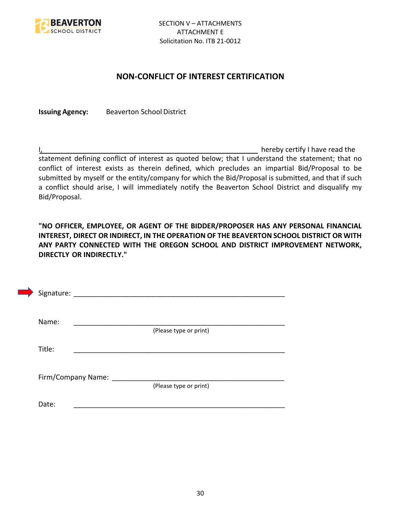

## **NON-CONFLICT OF INTEREST CERTIFICATION**

**Issuing Agency:** Beaverton School District

I, the contract of the contract of the contract of the contract of the hereby certify I have read the statement defining conflict of interest as quoted below; that I understand the statement; that no conflict of interest exists as therein defined, which precludes an impartial Bid/Proposal to be submitted by myself or the entity/company for which the Bid/Proposal is submitted, and that if such a conflict should arise, I will immediately notify the Beaverton School District and disqualify my Bid/Proposal.

**"NO OFFICER, EMPLOYEE, OR AGENT OF THE BIDDER/PROPOSER HAS ANY PERSONAL FINANCIAL INTEREST, DIRECT OR INDIRECT, IN THE OPERATION OF THE BEAVERTON SCHOOL DISTRICT OR WITH ANY PARTY CONNECTED WITH THE OREGON SCHOOL AND DISTRICT IMPROVEMENT NETWORK, DIRECTLY OR INDIRECTLY."**

| Signature: |                    |                        |  |
|------------|--------------------|------------------------|--|
| Name:      |                    |                        |  |
| Title:     |                    | (Please type or print) |  |
|            |                    |                        |  |
|            | Firm/Company Name: | (Please type or print) |  |
| Date:      |                    |                        |  |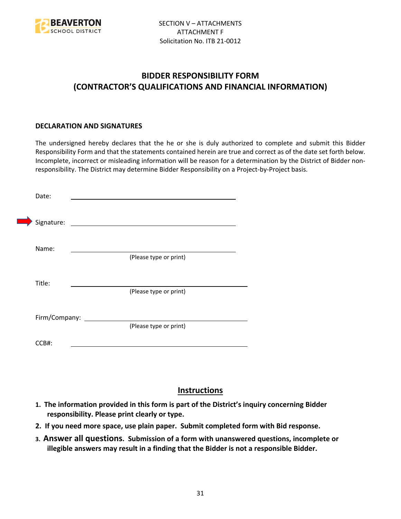

# **BIDDER RESPONSIBILITY FORM (CONTRACTOR'S QUALIFICATIONS AND FINANCIAL INFORMATION)**

## **DECLARATION AND SIGNATURES**

The undersigned hereby declares that the he or she is duly authorized to complete and submit this Bidder Responsibility Form and that the statements contained herein are true and correct as of the date set forth below. Incomplete, incorrect or misleading information will be reason for a determination by the District of Bidder nonresponsibility. The District may determine Bidder Responsibility on a Project-by-Project basis.

| Date:         |                                                             |
|---------------|-------------------------------------------------------------|
| Signature:    | the control of the control of the control of the control of |
| Name:         |                                                             |
|               | (Please type or print)                                      |
| Title:        |                                                             |
|               | (Please type or print)                                      |
| Firm/Company: |                                                             |
|               | (Please type or print)                                      |
| CCB#:         |                                                             |

# **Instructions**

- **1. The information provided in this form is part of the District's inquiry concerning Bidder responsibility. Please print clearly or type.**
- **2. If you need more space, use plain paper. Submit completed form with Bid response.**
- **3. Answer all questions. Submission of a form with unanswered questions, incomplete or illegible answers may result in a finding that the Bidder is not a responsible Bidder.**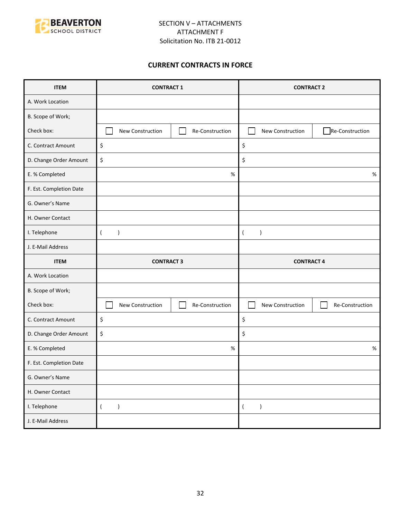

## **CURRENT CONTRACTS IN FORCE**

| <b>ITEM</b>             | <b>CONTRACT 1</b>               |                 | <b>CONTRACT 2</b>             |                 |
|-------------------------|---------------------------------|-----------------|-------------------------------|-----------------|
| A. Work Location        |                                 |                 |                               |                 |
| B. Scope of Work;       |                                 |                 |                               |                 |
| Check box:              | New Construction                | Re-Construction | New Construction              | Re-Construction |
| C. Contract Amount      | \$                              |                 | \$                            |                 |
| D. Change Order Amount  | \$                              |                 | \$                            |                 |
| E. % Completed          |                                 | $\%$            |                               | $\%$            |
| F. Est. Completion Date |                                 |                 |                               |                 |
| G. Owner's Name         |                                 |                 |                               |                 |
| H. Owner Contact        |                                 |                 |                               |                 |
| I. Telephone            | $\overline{(}$<br>$\mathcal{E}$ |                 | $\lambda$<br>$\overline{ }$   |                 |
| J. E-Mail Address       |                                 |                 |                               |                 |
|                         | <b>CONTRACT 3</b>               |                 | <b>CONTRACT 4</b>             |                 |
| <b>ITEM</b>             |                                 |                 |                               |                 |
| A. Work Location        |                                 |                 |                               |                 |
| B. Scope of Work;       |                                 |                 |                               |                 |
| Check box:              | New Construction                | Re-Construction | New Construction              | Re-Construction |
| C. Contract Amount      | \$                              |                 | \$                            |                 |
| D. Change Order Amount  | \$                              |                 | \$                            |                 |
| E. % Completed          |                                 | $\%$            |                               | $\%$            |
| F. Est. Completion Date |                                 |                 |                               |                 |
| G. Owner's Name         |                                 |                 |                               |                 |
| H. Owner Contact        |                                 |                 |                               |                 |
| I. Telephone            | $\overline{(\ }$<br>$\lambda$   |                 | $\lambda$<br>$\overline{(\ }$ |                 |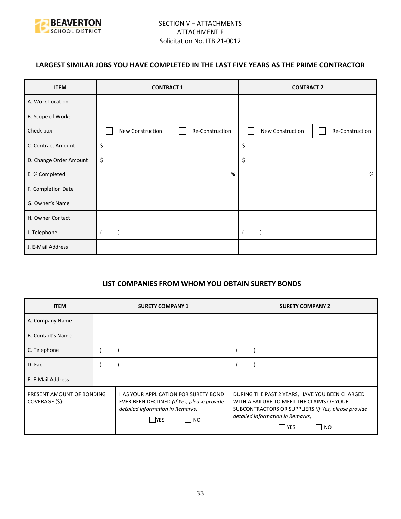

# **LARGEST SIMILAR JOBS YOU HAVE COMPLETED IN THE LAST FIVE YEARS AS THE PRIME CONTRACTOR**

| <b>ITEM</b>            | <b>CONTRACT 1</b> |                 | <b>CONTRACT 2</b> |                 |
|------------------------|-------------------|-----------------|-------------------|-----------------|
| A. Work Location       |                   |                 |                   |                 |
| B. Scope of Work;      |                   |                 |                   |                 |
| Check box:             | New Construction  | Re-Construction | New Construction  | Re-Construction |
| C. Contract Amount     | \$                |                 | \$                |                 |
| D. Change Order Amount | \$                |                 | \$                |                 |
| E. % Completed         |                   | %               |                   | %               |
| F. Completion Date     |                   |                 |                   |                 |
| G. Owner's Name        |                   |                 |                   |                 |
| H. Owner Contact       |                   |                 |                   |                 |
| I. Telephone           |                   |                 |                   |                 |
| J. E-Mail Address      |                   |                 |                   |                 |

## **LIST COMPANIES FROM WHOM YOU OBTAIN SURETY BONDS**

| <b>ITEM</b>                                 | <b>SURETY COMPANY 1</b>                                                                                                                            | <b>SURETY COMPANY 2</b>                                                                                                                                                                                           |  |
|---------------------------------------------|----------------------------------------------------------------------------------------------------------------------------------------------------|-------------------------------------------------------------------------------------------------------------------------------------------------------------------------------------------------------------------|--|
| A. Company Name                             |                                                                                                                                                    |                                                                                                                                                                                                                   |  |
| <b>B. Contact's Name</b>                    |                                                                                                                                                    |                                                                                                                                                                                                                   |  |
| C. Telephone                                |                                                                                                                                                    |                                                                                                                                                                                                                   |  |
| D. Fax                                      |                                                                                                                                                    |                                                                                                                                                                                                                   |  |
| E. E-Mail Address                           |                                                                                                                                                    |                                                                                                                                                                                                                   |  |
| PRESENT AMOUNT OF BONDING<br>COVERAGE (\$): | HAS YOUR APPLICATION FOR SURETY BOND<br>EVER BEEN DECLINED (If Yes, please provide<br>detailed information in Remarks)<br>$\Box$ No<br><b>IYES</b> | DURING THE PAST 2 YEARS, HAVE YOU BEEN CHARGED<br>WITH A FAILURE TO MEET THE CLAIMS OF YOUR<br>SUBCONTRACTORS OR SUPPLIERS (If Yes, please provide<br>detailed information in Remarks)<br><b>YES</b><br><b>NO</b> |  |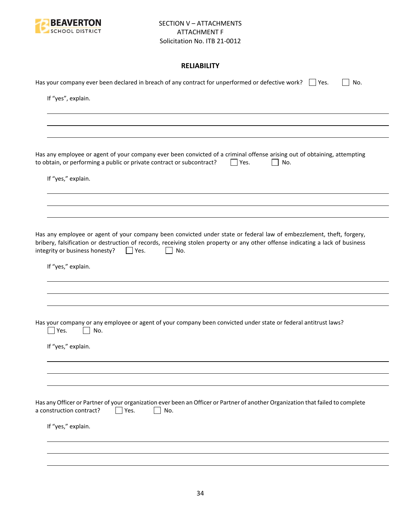

## **RELIABILITY**

| Has your company ever been declared in breach of any contract for unperformed or defective work? $\Box$ Yes.<br>No.                                                                                                                                                                                           |
|---------------------------------------------------------------------------------------------------------------------------------------------------------------------------------------------------------------------------------------------------------------------------------------------------------------|
| If "yes", explain.                                                                                                                                                                                                                                                                                            |
|                                                                                                                                                                                                                                                                                                               |
|                                                                                                                                                                                                                                                                                                               |
| Has any employee or agent of your company ever been convicted of a criminal offense arising out of obtaining, attempting<br>to obtain, or performing a public or private contract or subcontract?<br>Yes.<br>No.                                                                                              |
| If "yes," explain.                                                                                                                                                                                                                                                                                            |
|                                                                                                                                                                                                                                                                                                               |
|                                                                                                                                                                                                                                                                                                               |
| Has any employee or agent of your company been convicted under state or federal law of embezzlement, theft, forgery,<br>bribery, falsification or destruction of records, receiving stolen property or any other offense indicating a lack of business<br>integrity or business honesty?<br>$ $   Yes.<br>No. |
| If "yes," explain.                                                                                                                                                                                                                                                                                            |
|                                                                                                                                                                                                                                                                                                               |
|                                                                                                                                                                                                                                                                                                               |
| Has your company or any employee or agent of your company been convicted under state or federal antitrust laws?<br>Yes.<br>No.                                                                                                                                                                                |
| If "yes," explain.                                                                                                                                                                                                                                                                                            |
|                                                                                                                                                                                                                                                                                                               |
|                                                                                                                                                                                                                                                                                                               |
| Has any Officer or Partner of your organization ever been an Officer or Partner of another Organization that failed to complete<br>a construction contract?<br>Yes.<br>No.                                                                                                                                    |
| If "yes," explain.                                                                                                                                                                                                                                                                                            |
|                                                                                                                                                                                                                                                                                                               |
|                                                                                                                                                                                                                                                                                                               |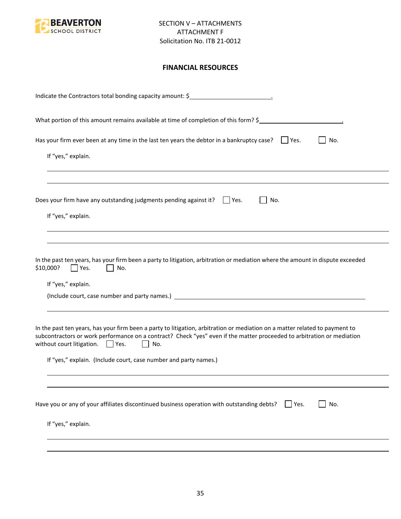

## **FINANCIAL RESOURCES**

| Indicate the Contractors total bonding capacity amount: \$                                                                                                                                                                                                                                                                                                                                |
|-------------------------------------------------------------------------------------------------------------------------------------------------------------------------------------------------------------------------------------------------------------------------------------------------------------------------------------------------------------------------------------------|
| What portion of this amount remains available at time of completion of this form? \$                                                                                                                                                                                                                                                                                                      |
| Has your firm ever been at any time in the last ten years the debtor in a bankruptcy case? $\Box$ Yes.<br>No.<br>If "yes," explain.                                                                                                                                                                                                                                                       |
| Does your firm have any outstanding judgments pending against it? $\Box$ Yes.<br>No.<br>If "yes," explain.                                                                                                                                                                                                                                                                                |
| In the past ten years, has your firm been a party to litigation, arbitration or mediation where the amount in dispute exceeded<br>\$10,000?<br>Yes.<br>No.<br>If "yes," explain.                                                                                                                                                                                                          |
| In the past ten years, has your firm been a party to litigation, arbitration or mediation on a matter related to payment to<br>subcontractors or work performance on a contract? Check "yes" even if the matter proceeded to arbitration or mediation<br>without court litigation. $\Box$ Yes.<br>$\mathbf{L}$<br>No.<br>If "yes," explain. (Include court, case number and party names.) |
| Have you or any of your affiliates discontinued business operation with outstanding debts?<br>No.<br>$ $ Yes.<br>If "yes," explain.                                                                                                                                                                                                                                                       |
|                                                                                                                                                                                                                                                                                                                                                                                           |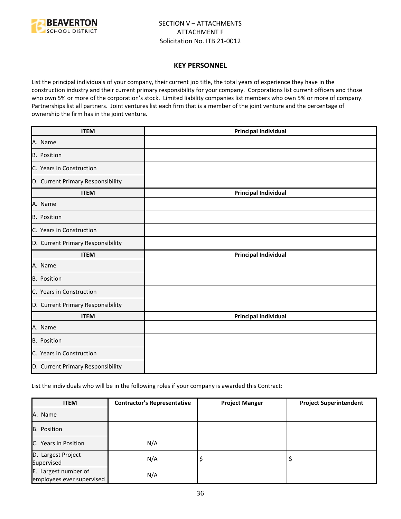

#### **KEY PERSONNEL**

List the principal individuals of your company, their current job title, the total years of experience they have in the construction industry and their current primary responsibility for your company. Corporations list current officers and those who own 5% or more of the corporation's stock. Limited liability companies list members who own 5% or more of company. Partnerships list all partners. Joint ventures list each firm that is a member of the joint venture and the percentage of ownership the firm has in the joint venture.

| <b>ITEM</b>                       | <b>Principal Individual</b> |
|-----------------------------------|-----------------------------|
| A. Name                           |                             |
| B. Position                       |                             |
| C. Years in Construction          |                             |
| D. Current Primary Responsibility |                             |
| <b>ITEM</b>                       | <b>Principal Individual</b> |
| A. Name                           |                             |
| B. Position                       |                             |
| C. Years in Construction          |                             |
| D. Current Primary Responsibility |                             |
| <b>ITEM</b>                       | <b>Principal Individual</b> |
| A. Name                           |                             |
| <b>B.</b> Position                |                             |
| C. Years in Construction          |                             |
| D. Current Primary Responsibility |                             |
| <b>ITEM</b>                       | <b>Principal Individual</b> |
| A. Name                           |                             |
| B. Position                       |                             |
| C. Years in Construction          |                             |
| D. Current Primary Responsibility |                             |

List the individuals who will be in the following roles if your company is awarded this Contract:

| <b>ITEM</b>                                       | <b>Contractor's Representative</b> | <b>Project Manger</b> | <b>Project Superintendent</b> |
|---------------------------------------------------|------------------------------------|-----------------------|-------------------------------|
| A. Name                                           |                                    |                       |                               |
| B. Position                                       |                                    |                       |                               |
| C. Years in Position                              | N/A                                |                       |                               |
| D. Largest Project<br>Supervised                  | N/A                                | ∍                     |                               |
| E. Largest number of<br>employees ever supervised | N/A                                |                       |                               |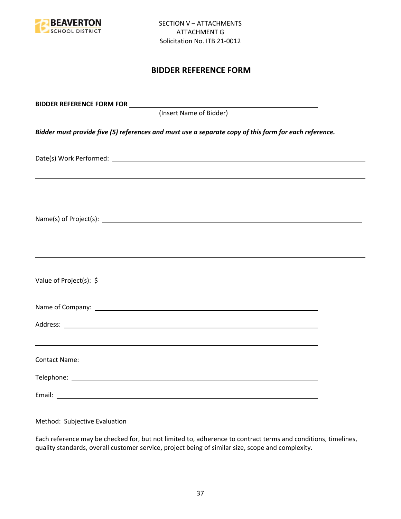

# **BIDDER REFERENCE FORM**

| (Insert Name of Bidder)                                                                               |  |
|-------------------------------------------------------------------------------------------------------|--|
| Bidder must provide five (5) references and must use a separate copy of this form for each reference. |  |
|                                                                                                       |  |
| ,我们也不会有什么。""我们的人,我们也不会有什么?""我们的人,我们也不会有什么?""我们的人,我们也不会有什么?""我们的人,我们也不会有什么?""我们的人                      |  |
|                                                                                                       |  |
| ,我们也不能会有一个人的事情。""我们的人,我们也不能会有一个人的人,我们也不能会有一个人的人,我们也不能会有一个人的人,我们也不能会有一个人的人,我们也不能会                      |  |
|                                                                                                       |  |
|                                                                                                       |  |
|                                                                                                       |  |
|                                                                                                       |  |
|                                                                                                       |  |
|                                                                                                       |  |

Method: Subjective Evaluation

Each reference may be checked for, but not limited to, adherence to contract terms and conditions, timelines, quality standards, overall customer service, project being of similar size, scope and complexity.